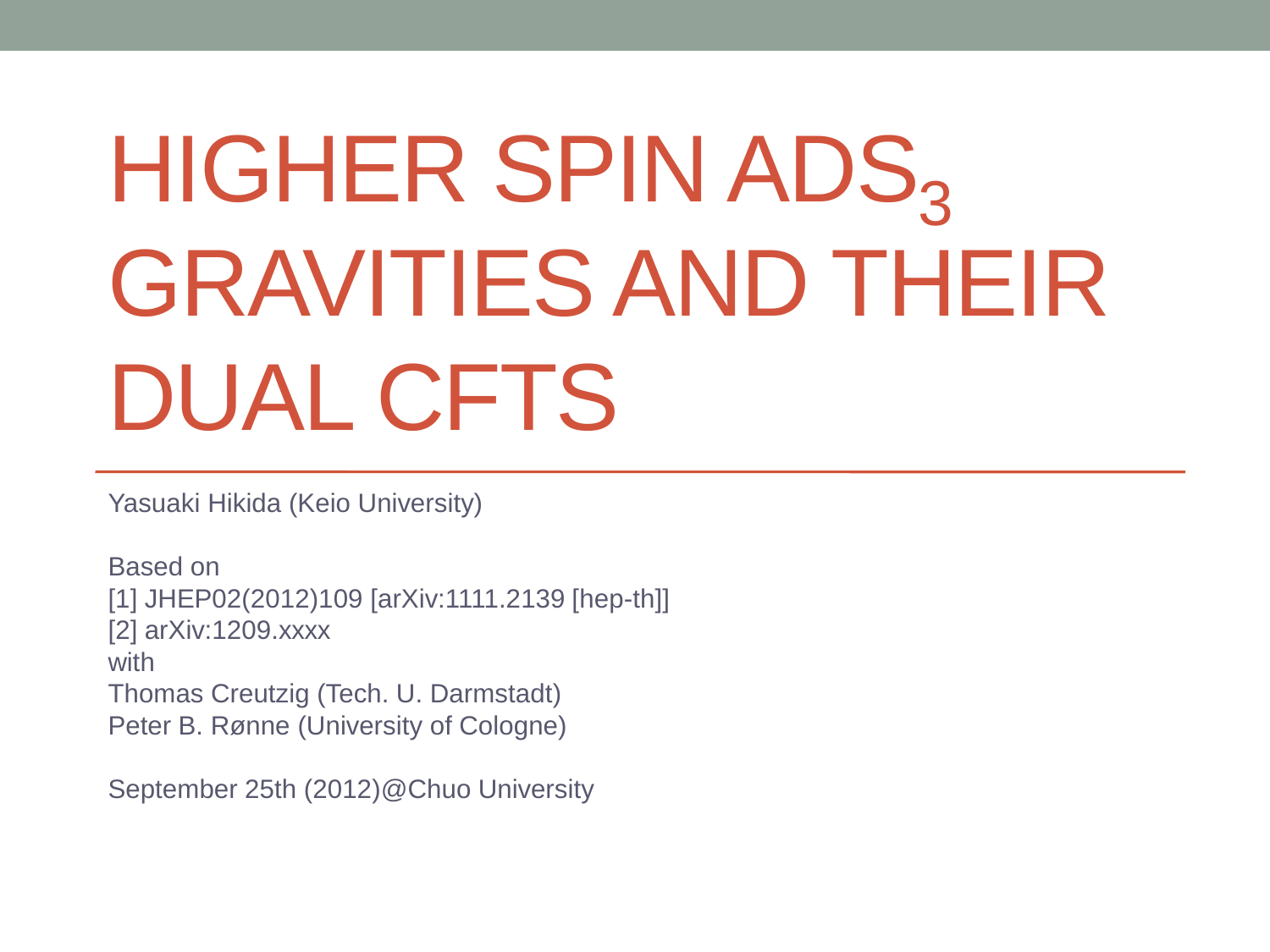# HIGHER SPIN ADS3 GRAVITIES AND THEIR DUAL CFTS

Yasuaki Hikida (Keio University)

Based on [1] JHEP02(2012)109 [arXiv:1111.2139 [hep-th]] [2] arXiv:1209.xxxx with Thomas Creutzig (Tech. U. Darmstadt) Peter B. Rønne (University of Cologne)

September 25th (2012)@Chuo University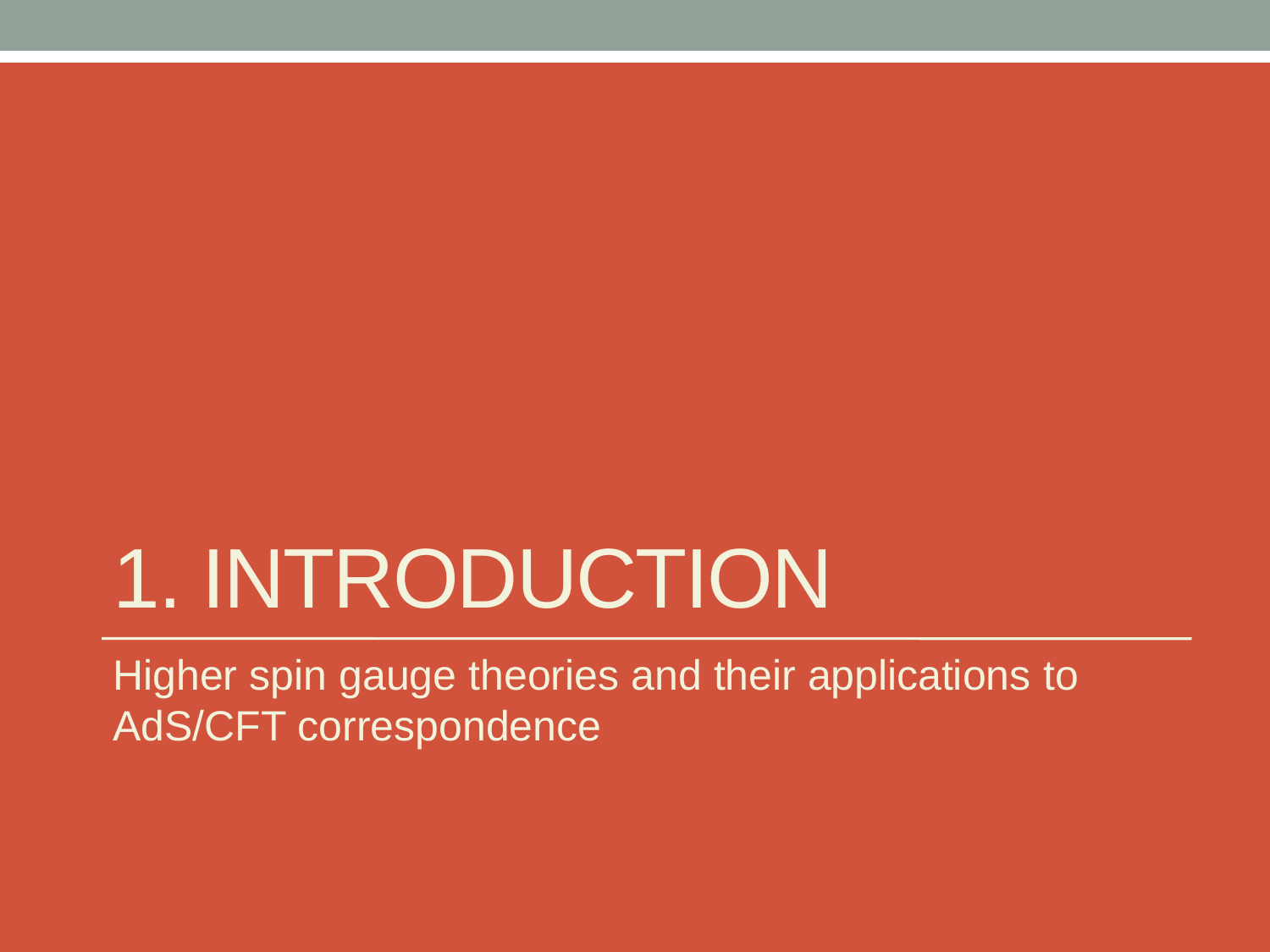## 1. INTRODUCTION

Higher spin gauge theories and their applications to AdS/CFT correspondence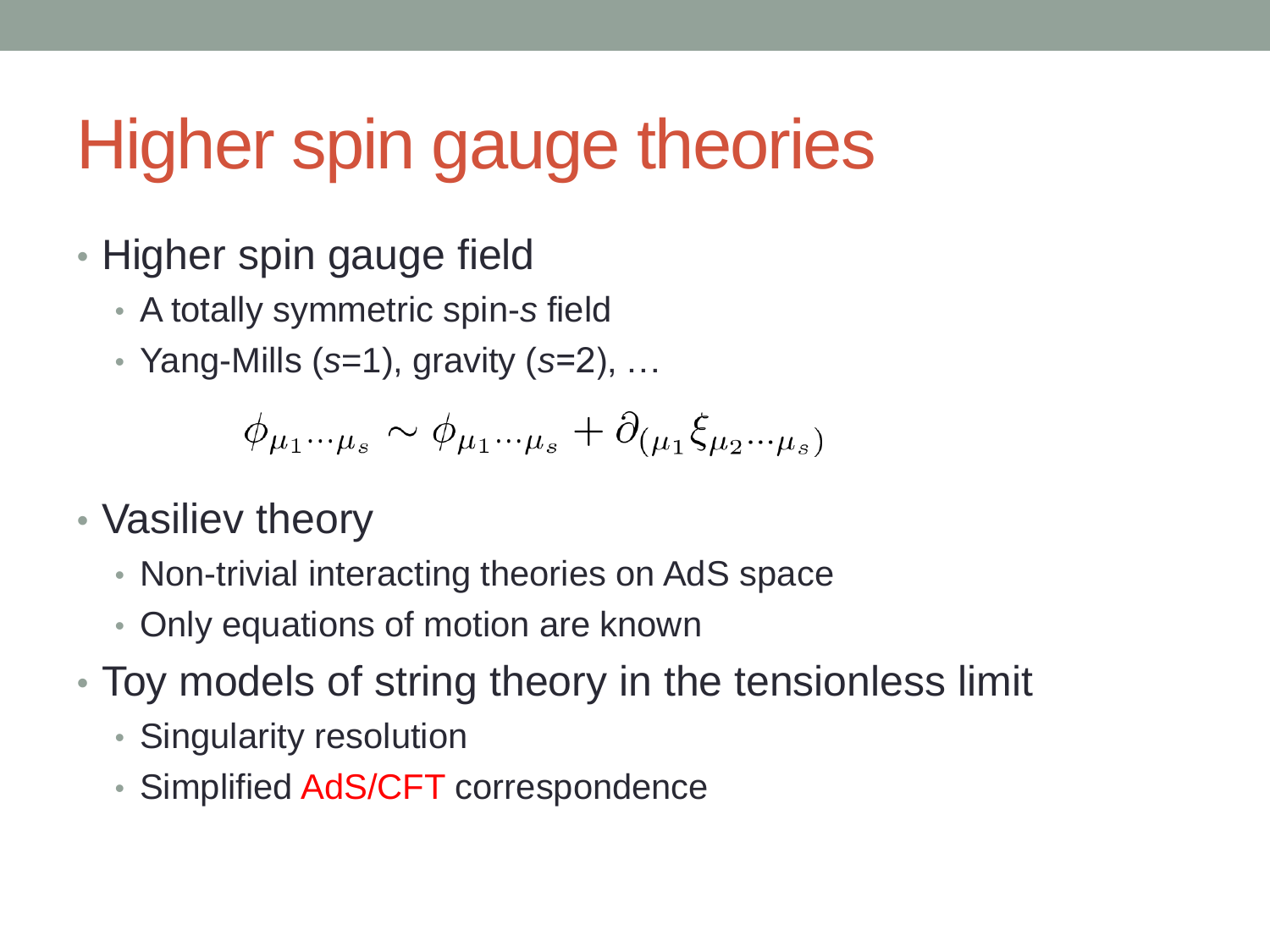## Higher spin gauge theories

- Higher spin gauge field
	- A totally symmetric spin-*s* field
	- Yang-Mills (*s*=1), gravity (*s*=2), …

$$
\phi_{\mu_1\cdots\mu_s} \sim \phi_{\mu_1\cdots\mu_s} + \partial_{(\mu_1} \xi_{\mu_2\cdots\mu_s)}
$$

- Vasiliev theory
	- Non-trivial interacting theories on AdS space
	- Only equations of motion are known
- Toy models of string theory in the tensionless limit
	- Singularity resolution
	- Simplified AdS/CFT correspondence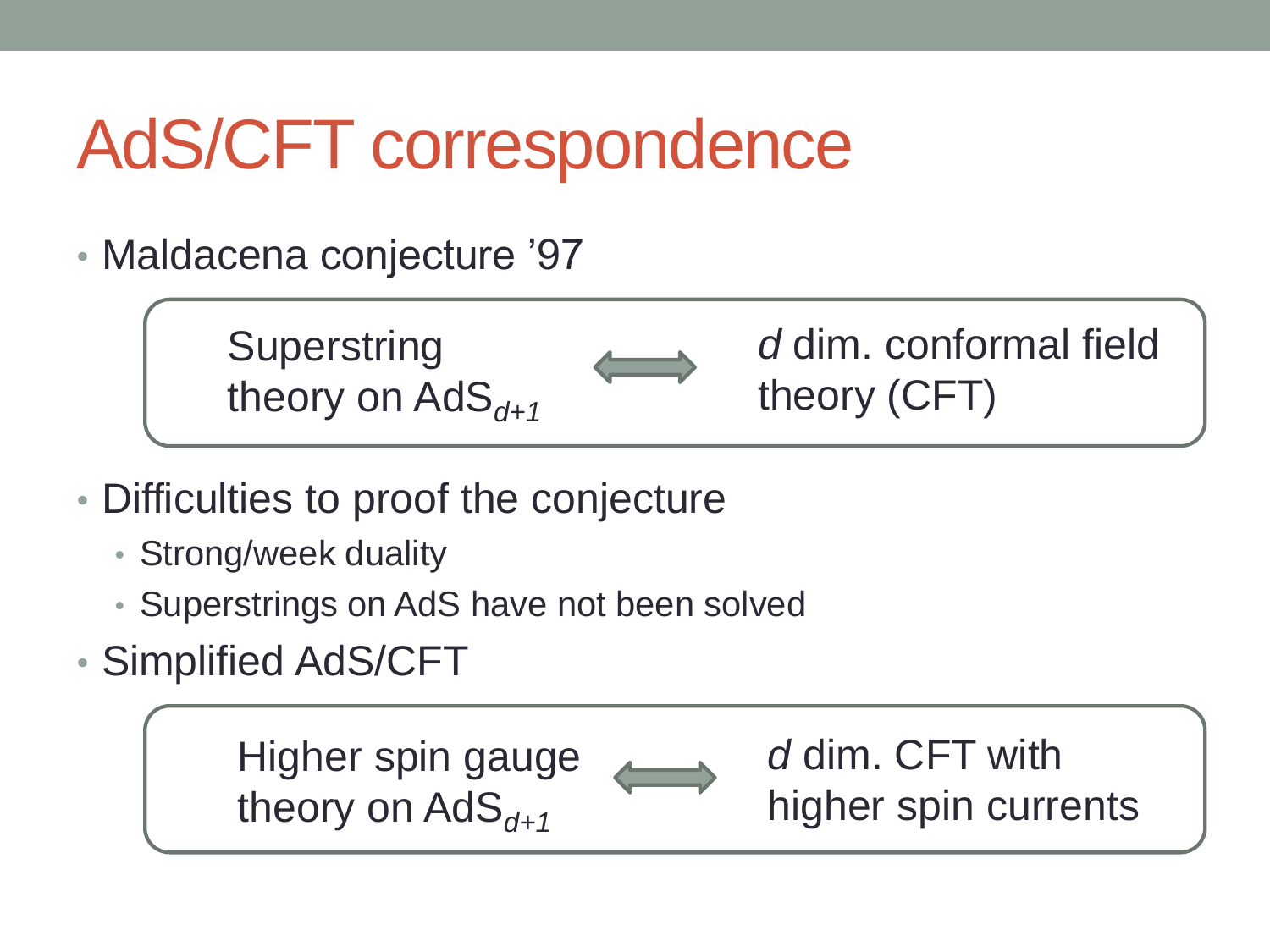## AdS/CFT correspondence

• Maldacena conjecture '97



- Difficulties to proof the conjecture
	- Strong/week duality
	- Superstrings on AdS have not been solved
- Simplified AdS/CFT

Higher spin gauge theory on  $AdS_{d+1}$ *d* dim. CFT with higher spin currents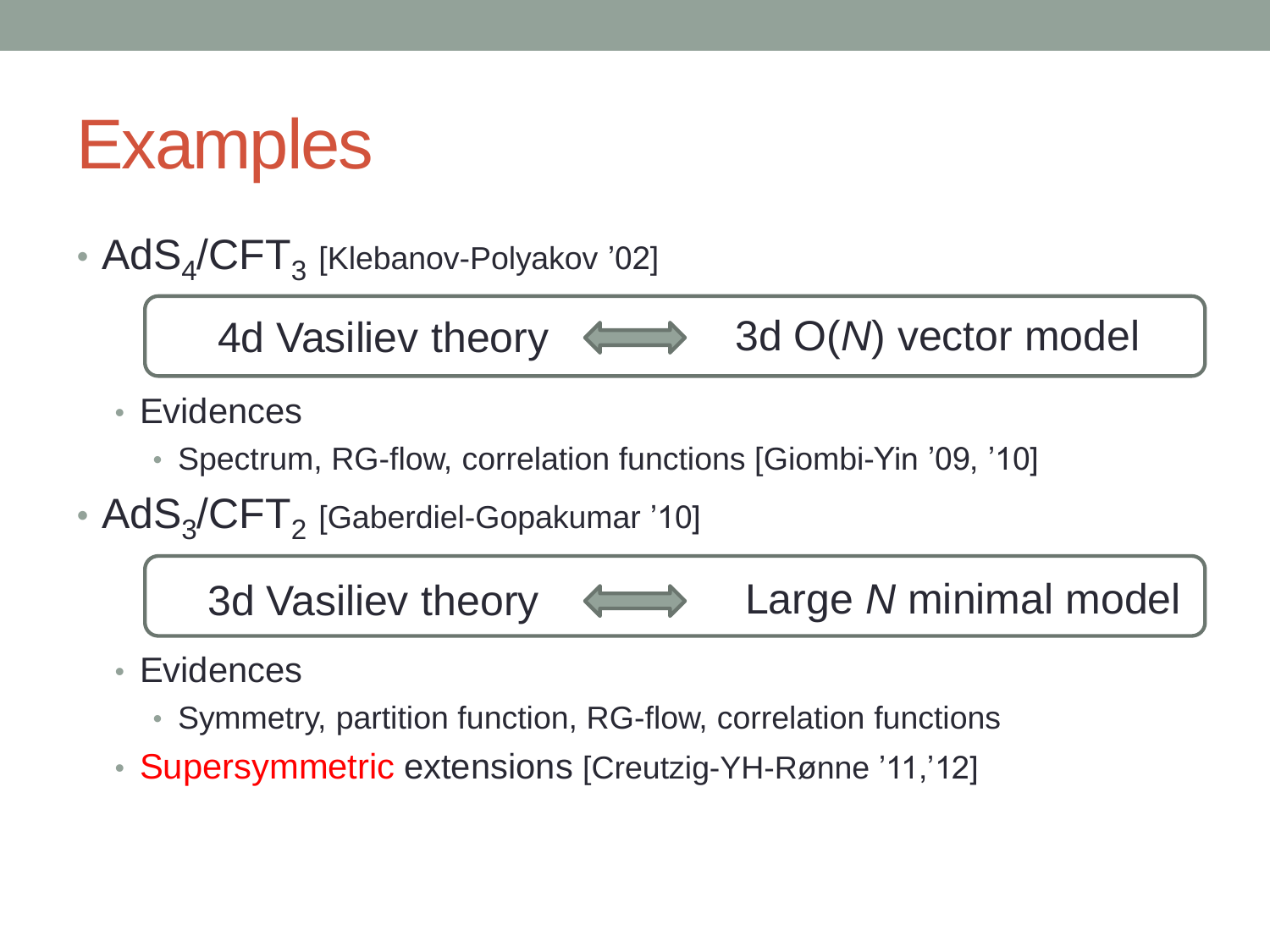## **Examples**

•  $AdS_4/CFT_3$  [Klebanov-Polyakov '02]



- Evidences
	- Spectrum, RG-flow, correlation functions [Giombi-Yin '09, '10]
- $AdS_{3}/CFT_{2}$  [Gaberdiel-Gopakumar '10]

3d Vasiliev theory Large *N* minimal model

- Evidences
	- Symmetry, partition function, RG-flow, correlation functions
- Supersymmetric extensions [Creutzig-YH-Rønne '11,'12]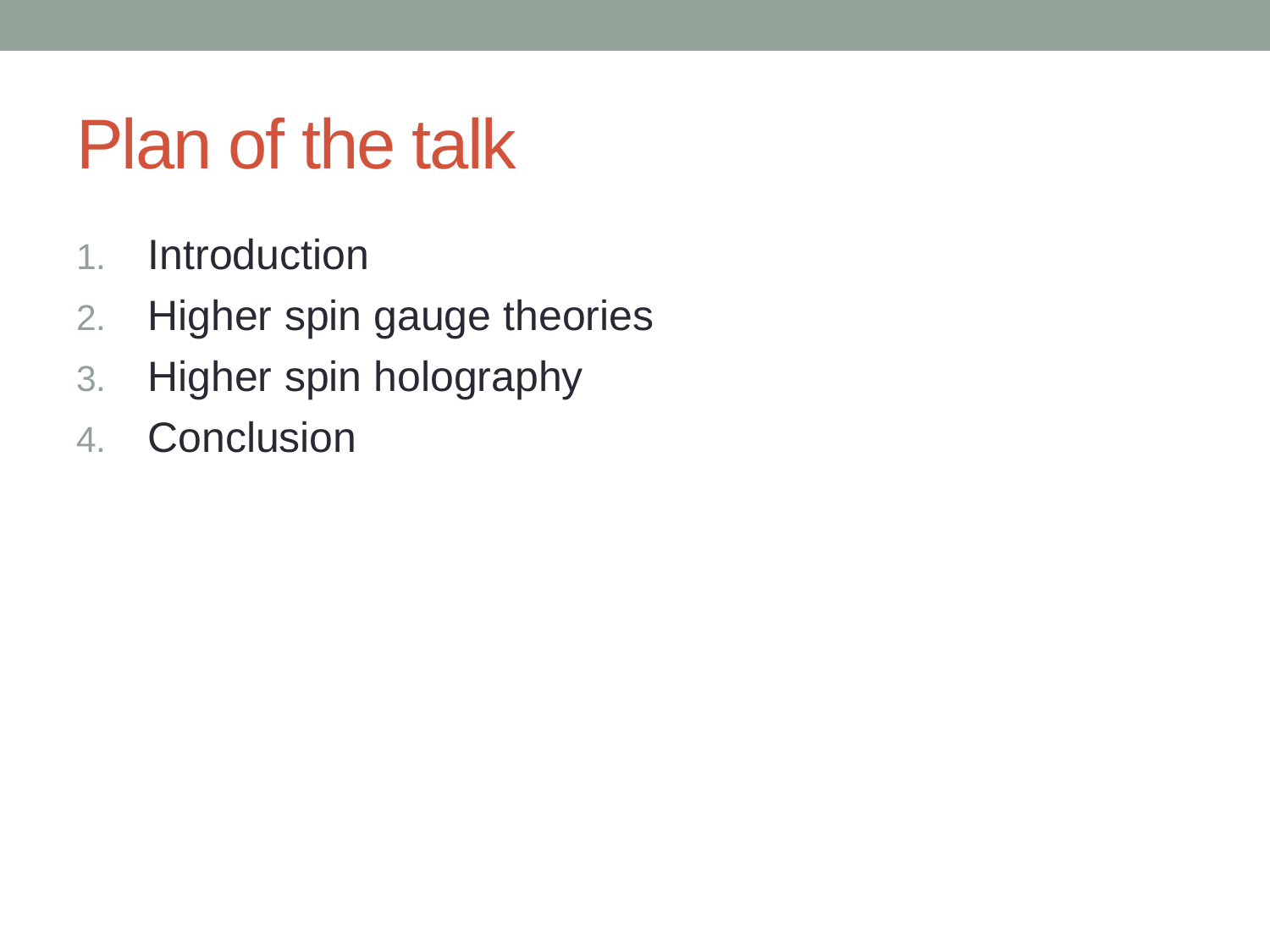#### Plan of the talk

- 1. Introduction
- 2. Higher spin gauge theories
- 3. Higher spin holography
- 4. Conclusion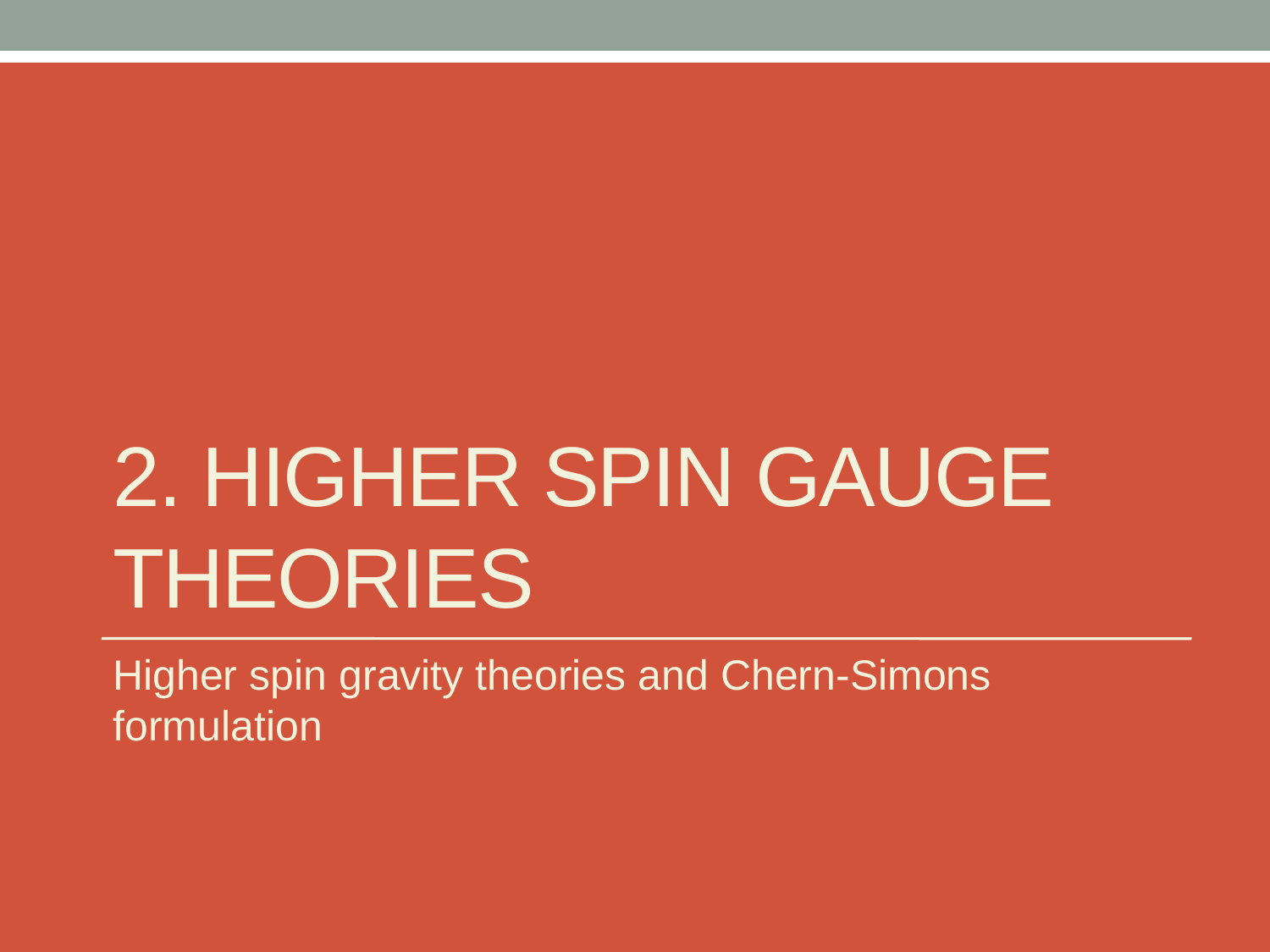## 2. HIGHER SPIN GAUGE THEORIES

Higher spin gravity theories and Chern-Simons formulation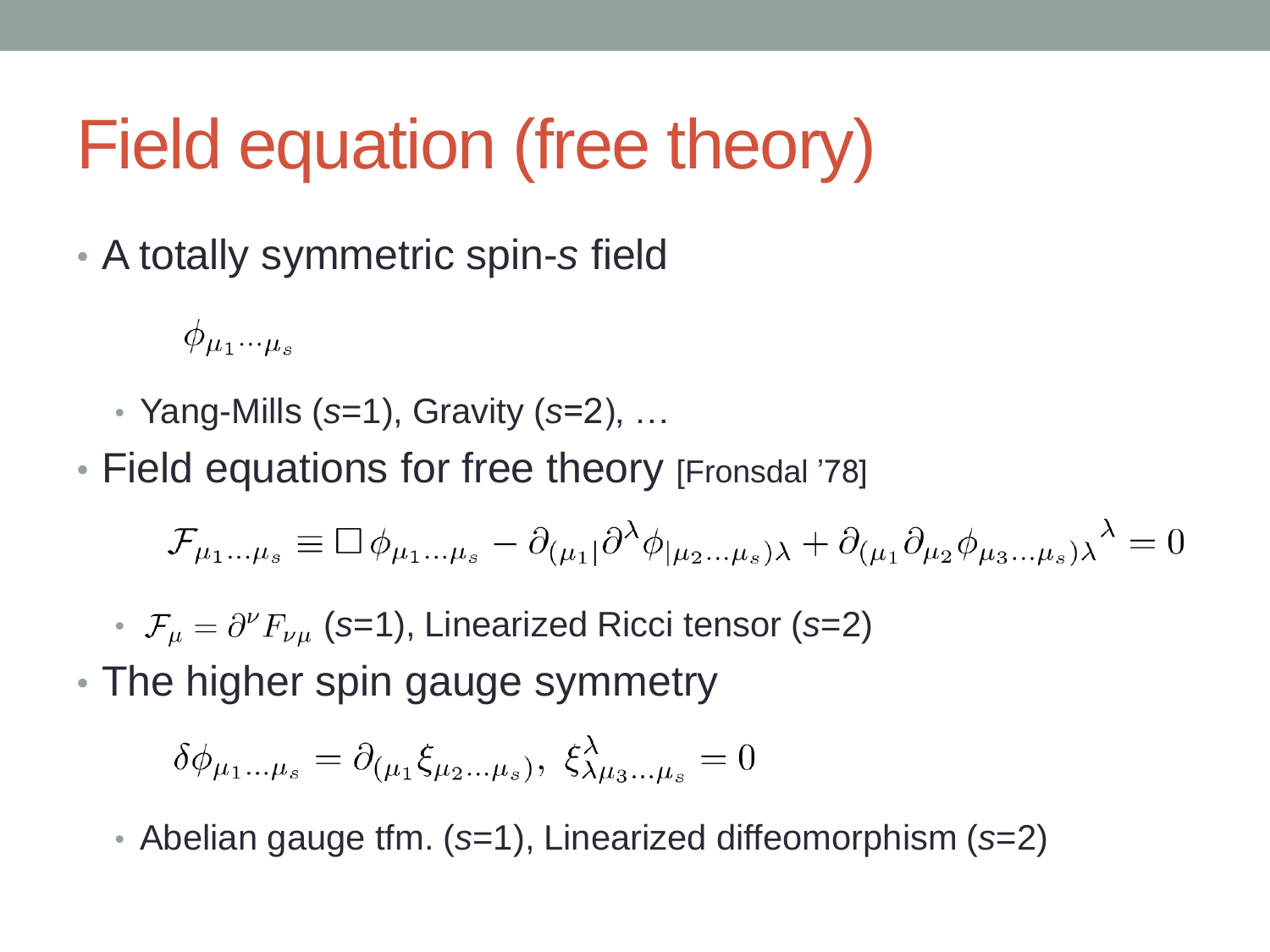## Field equation (free theory)

• A totally symmetric spin-*s* field

 $\phi_{\mu_1\cdots\mu_s}$ 

- Yang-Mills (*s*=1), Gravity (*s*=2), …
- Field equations for free theory [Fronsdal '78]

$$
\mathcal{F}_{\mu_1...\mu_s} \equiv \Box \phi_{\mu_1...\mu_s} - \partial_{(\mu_1|} \partial^{\lambda} \phi_{|\mu_2...\mu_s)\lambda} + \partial_{(\mu_1} \partial_{\mu_2} \phi_{\mu_3...\mu_s)\lambda}{}^{\lambda} = 0
$$

•  $\mathcal{F}_{\mu} = \partial^{\nu} F_{\nu\mu}$  (s=1), Linearized Ricci tensor (s=2)

• The higher spin gauge symmetry

$$
\delta\phi_{\mu_1...\mu_s} = \partial_{(\mu_1}\xi_{\mu_2...\mu_s)}, \ \xi^{\lambda}_{\lambda\mu_3...\mu_s} = 0
$$

• Abelian gauge tfm. (*s*=1), Linearized diffeomorphism (*s*=2)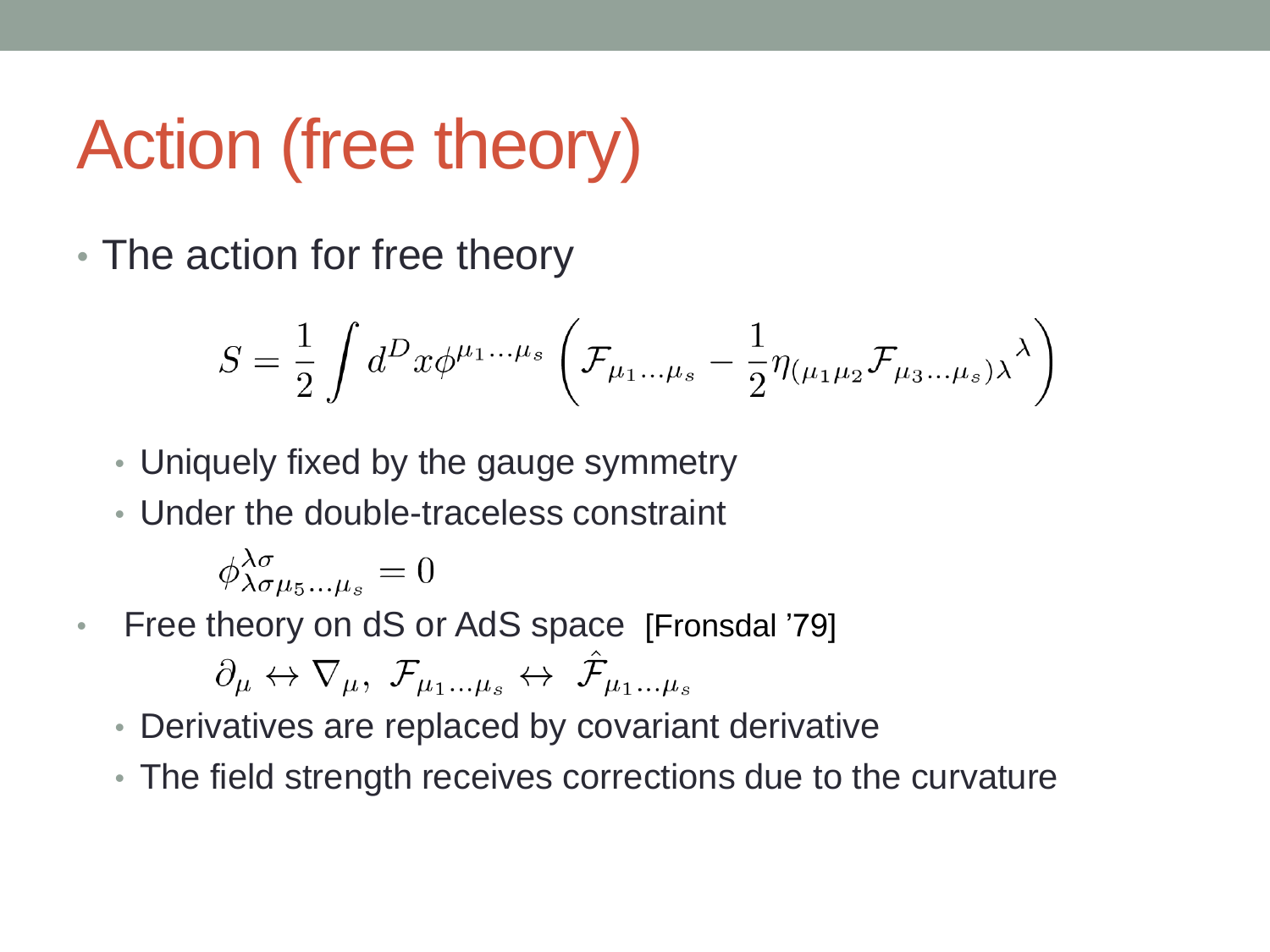## Action (free theory)

• The action for free theory

$$
S = \frac{1}{2} \int d^D x \phi^{\mu_1...\mu_s} \left( \mathcal{F}_{\mu_1...\mu_s} - \frac{1}{2} \eta_{(\mu_1\mu_2} \mathcal{F}_{\mu_3...\mu_s)\lambda} \right)
$$

- Uniquely fixed by the gauge symmetry
- Under the double-traceless constraint

$$
\phi^{\lambda\sigma}_{\lambda\sigma\mu_5\ldots\mu_s}=0
$$

• Free theory on dS or AdS space [Fronsdal '79]

$$
\partial_\mu \leftrightarrow \nabla_\mu, \; \mathcal{F}_{\mu_1...\mu_s} \leftrightarrow \; \hat{\mathcal{F}}_{\mu_1...\mu_s}
$$

- Derivatives are replaced by covariant derivative
- The field strength receives corrections due to the curvature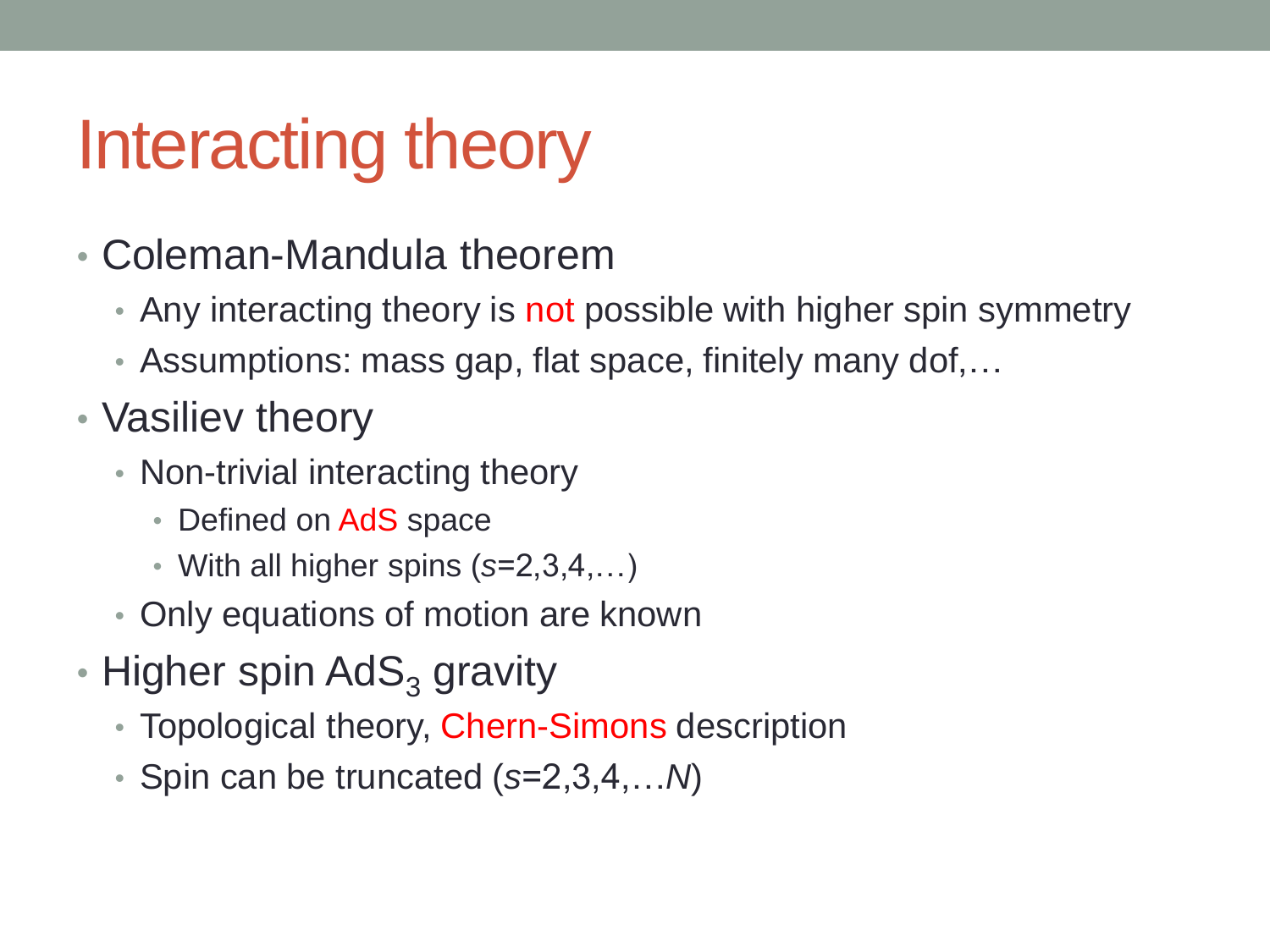## Interacting theory

- Coleman-Mandula theorem
	- Any interacting theory is not possible with higher spin symmetry
	- Assumptions: mass gap, flat space, finitely many dof,...
- Vasiliev theory
	- Non-trivial interacting theory
		- Defined on AdS space
		- With all higher spins (*s*=2,3,4,…)
	- Only equations of motion are known
- Higher spin  $AdS<sub>3</sub>$  gravity
	- Topological theory, Chern-Simons description
	- Spin can be truncated (*s*=2,3,4,…*N*)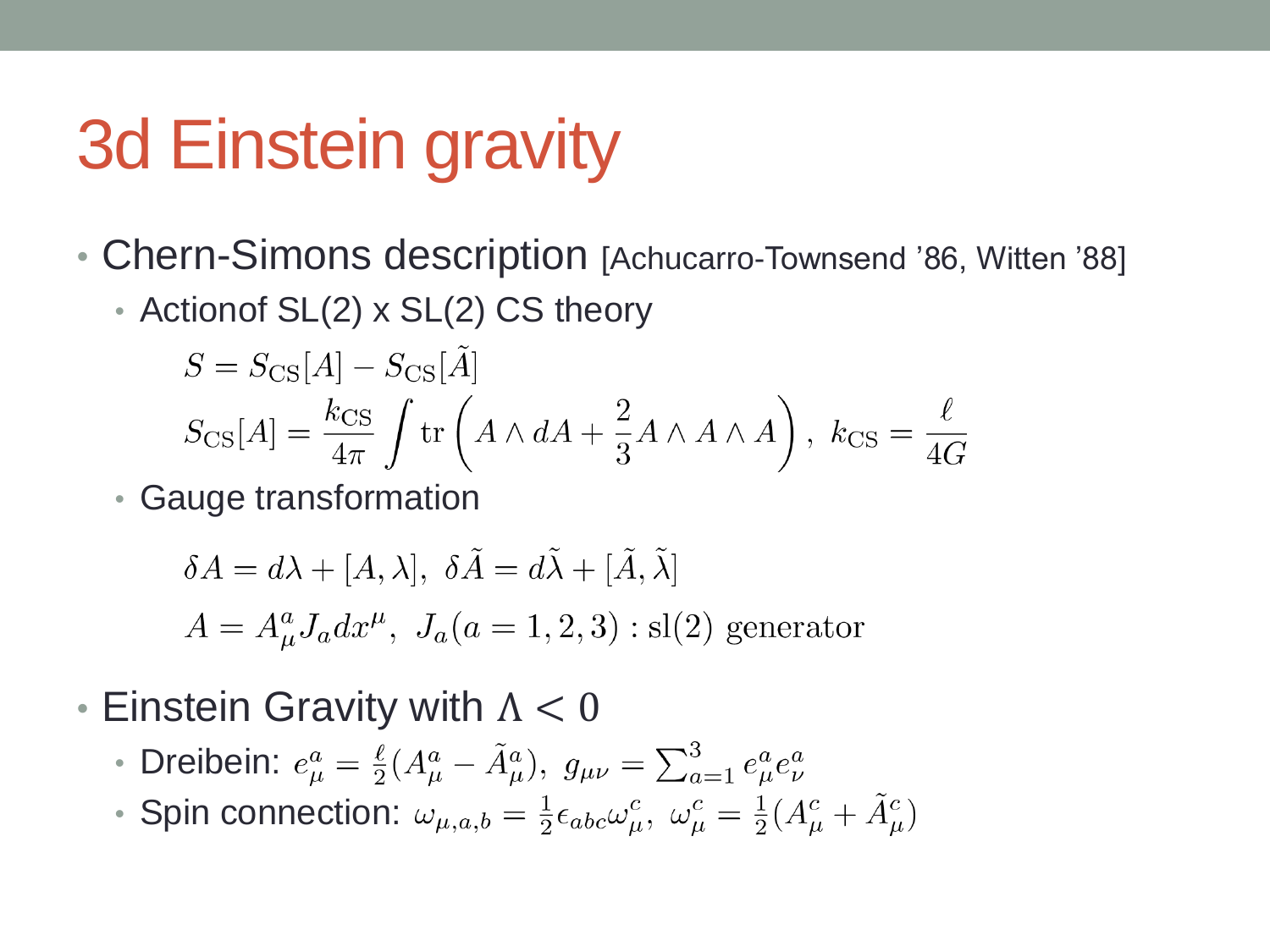## 3d Einstein gravity

- Chern-Simons description [Achucarro-Townsend '86, Witten '88]
	- Actionof SL(2) x SL(2) CS theory

$$
S = S_{\text{CS}}[A] - S_{\text{CS}}[\tilde{A}]
$$
  

$$
S_{\text{CS}}[A] = \frac{k_{\text{CS}}}{4\pi} \int \text{tr}\left(A \wedge dA + \frac{2}{3} A \wedge A \wedge A\right), k_{\text{CS}} = \frac{\ell}{4G}
$$

• Gauge transformation

$$
\delta A = d\lambda + [A, \lambda], \ \delta \tilde{A} = d\tilde{\lambda} + [\tilde{A}, \tilde{\lambda}]
$$

$$
A = A^a_\mu J_a dx^\mu, \ J_a(a = 1, 2, 3) : sl(2) \text{ generator}
$$

- Einstein Gravity with  $\Lambda < 0$ 
	- Dreibein:  $e_{\mu}^{a} = \frac{\ell}{2}(A_{\mu}^{a} \tilde{A}_{\mu}^{a}), g_{\mu\nu} = \sum_{a=1}^{3} e_{\mu}^{a} e_{\nu}^{a}$
	- Spin connection:  $\omega_{\mu,a,b} = \frac{1}{2} \epsilon_{abc} \omega^c_\mu$ ,  $\omega^c_\mu = \frac{1}{2} (A^c_\mu + \tilde{A}^c_\mu)$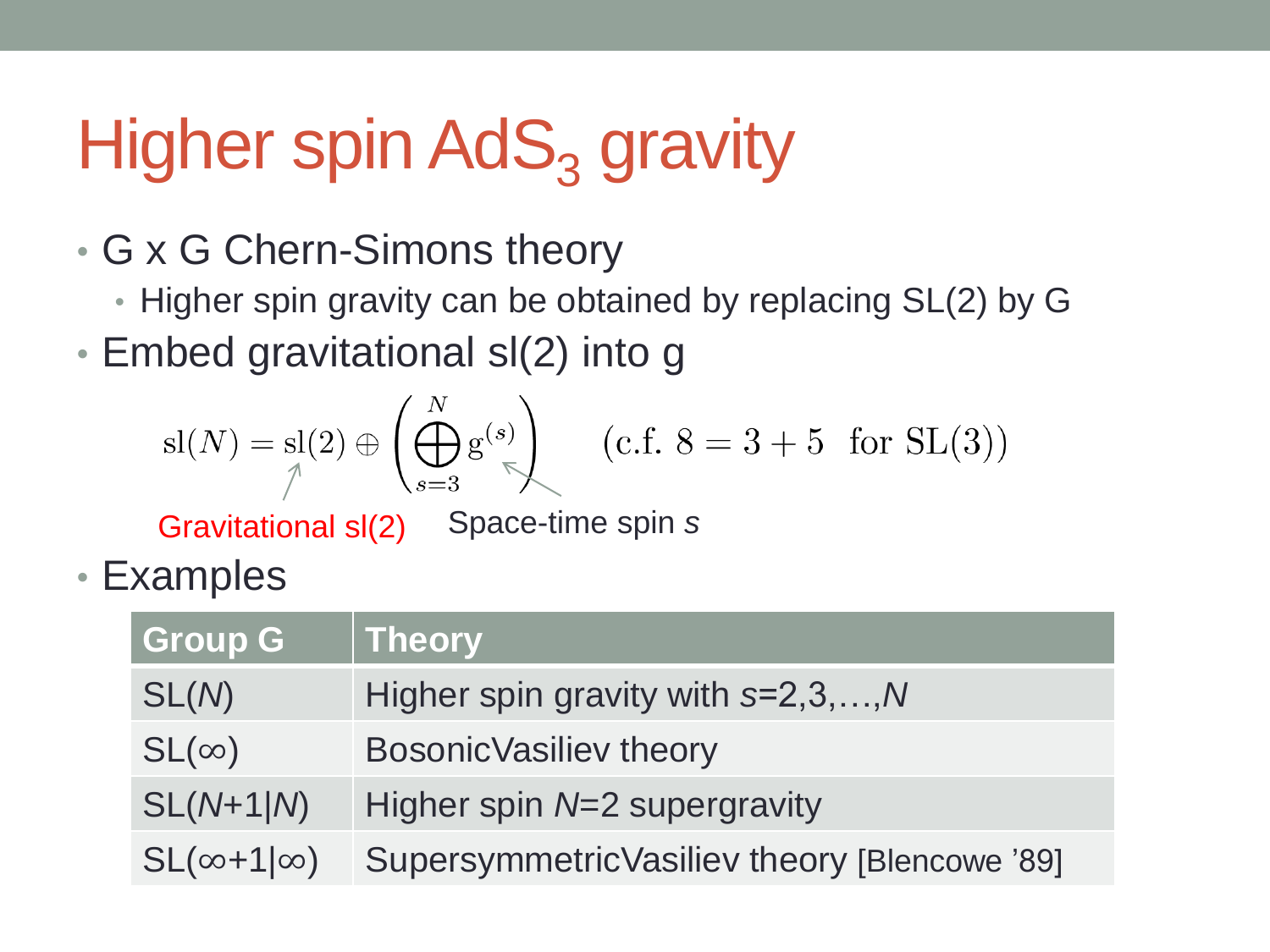## Higher spin AdS<sub>3</sub> gravity

- G x G Chern-Simons theory
	- Higher spin gravity can be obtained by replacing SL(2) by G
- Embed gravitational sl(2) into g

$$
sl(N) = sl(2) \oplus \left(\bigoplus_{s=3}^{N} g^{(s)}\right) \quad (c.f. 8 = 3 + 5 \text{ for } SL(3))
$$

Gravitational sl(2) Space-time spin *s*

• Examples

| <b>Group G</b>        | Theory                                       |
|-----------------------|----------------------------------------------|
| SL(M)                 | Higher spin gravity with $s=2,3,,N$          |
| $SL(\infty)$          | BosonicVasiliev theory                       |
| $SL(N+1 N)$           | Higher spin N=2 supergravity                 |
| $SL(\infty+1 \infty)$ | SupersymmetricVasiliev theory [Blencowe '89] |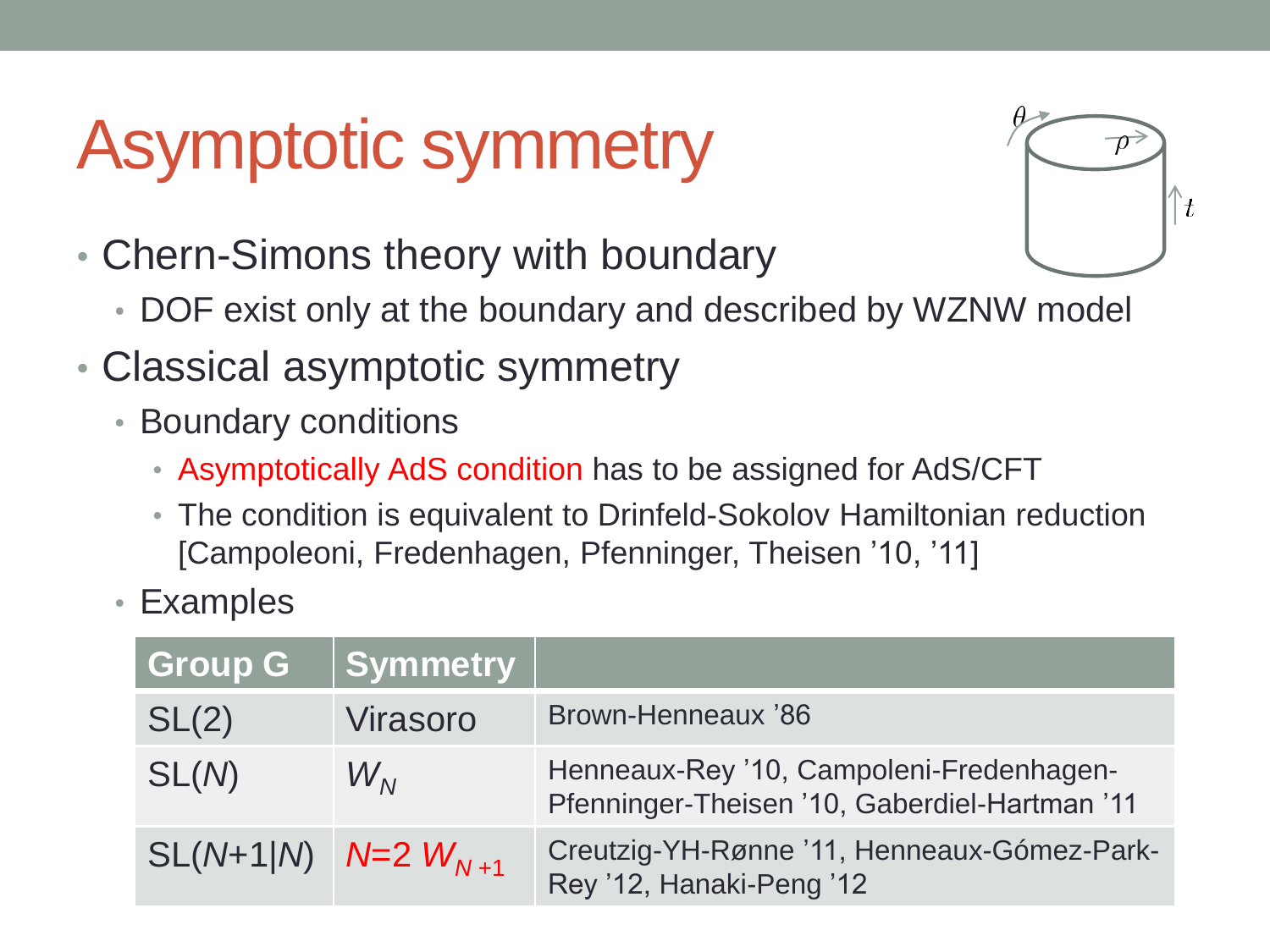## Asymptotic symmetry



- Chern-Simons theory with boundary
	- DOF exist only at the boundary and described by WZNW model
- Classical asymptotic symmetry
	- Boundary conditions
		- Asymptotically AdS condition has to be assigned for AdS/CFT
		- The condition is equivalent to Drinfeld-Sokolov Hamiltonian reduction [Campoleoni, Fredenhagen, Pfenninger, Theisen '10, '11]
	- Examples

| <b>Group G</b>            | Symmetry                   |                                                                                           |
|---------------------------|----------------------------|-------------------------------------------------------------------------------------------|
| SL(2)                     | <b>Virasoro</b>            | Brown-Henneaux '86                                                                        |
| SL(M)                     | $W_{\scriptscriptstyle M}$ | Henneaux-Rey '10, Campoleni-Fredenhagen-<br>Pfenninger-Theisen '10, Gaberdiel-Hartman '11 |
| $SL(N+1 N)$ N=2 $W_{N+1}$ |                            | Creutzig-YH-Rønne '11, Henneaux-Gómez-Park-<br>Rey '12, Hanaki-Peng '12                   |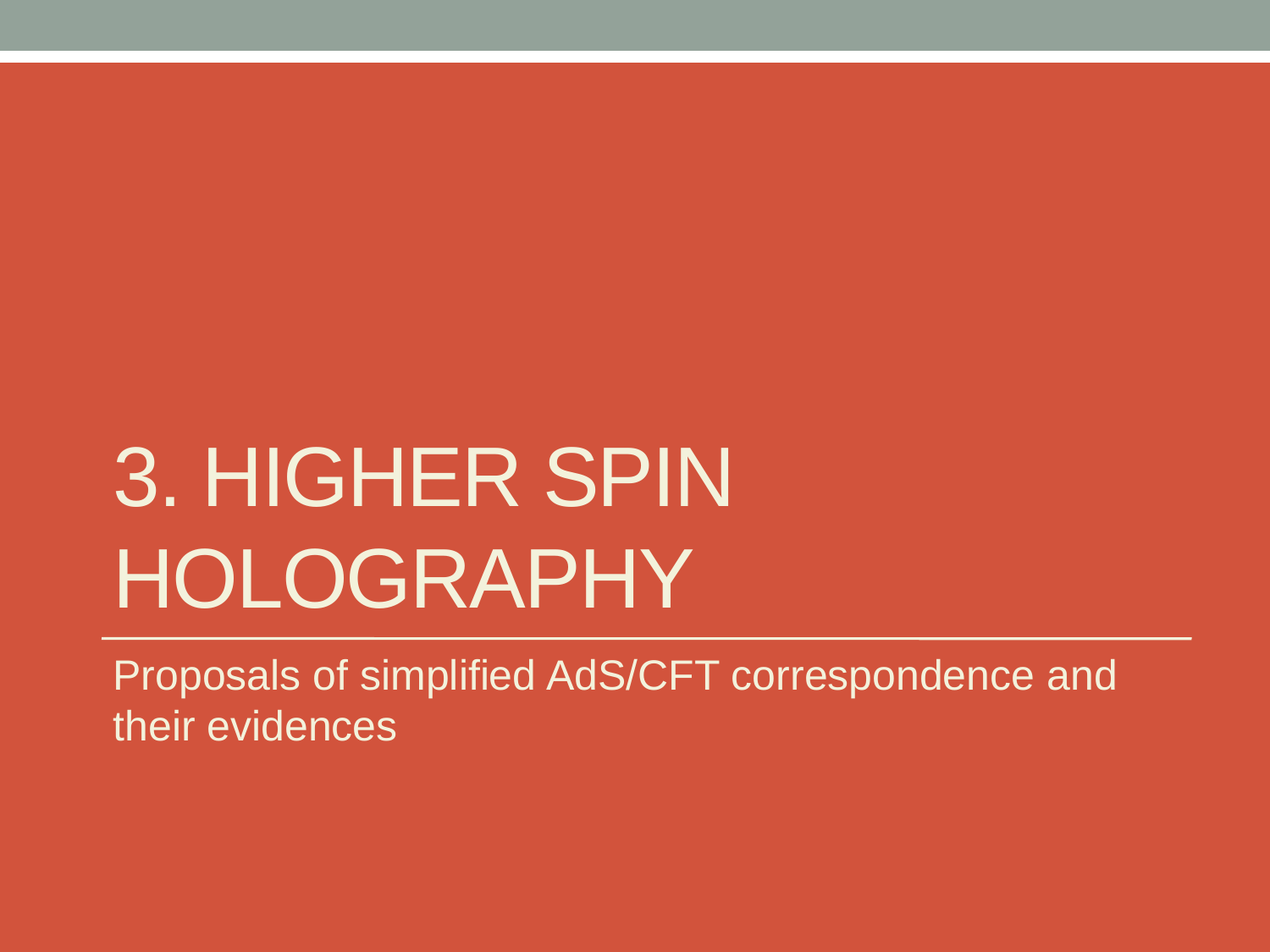## 3. HIGHER SPIN HOLOGRAPHY

Proposals of simplified AdS/CFT correspondence and their evidences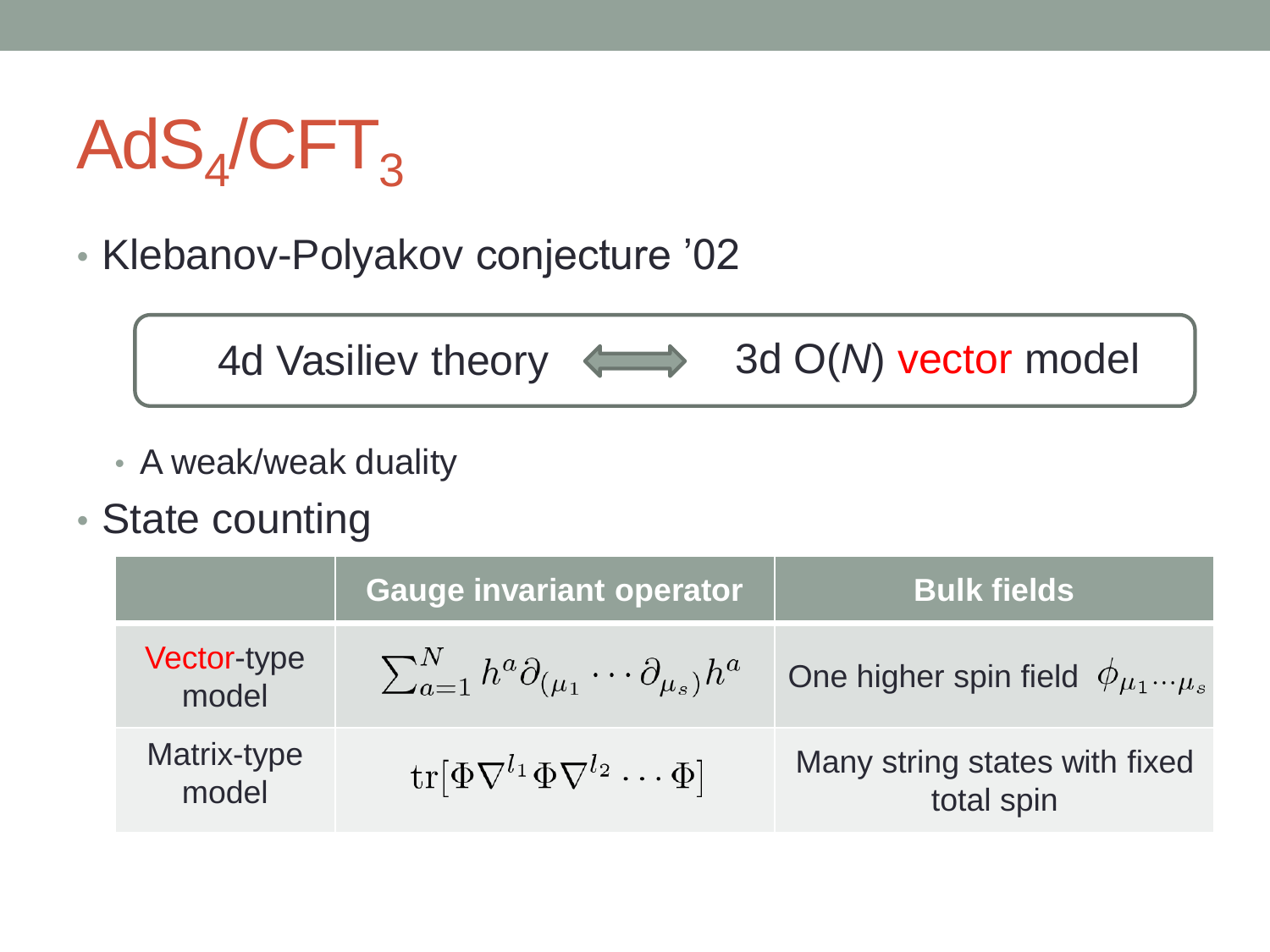

• Klebanov-Polyakov conjecture '02



- A weak/weak duality
- State counting

|                      | <b>Gauge invariant operator</b>                                   | <b>Bulk fields</b>                              |
|----------------------|-------------------------------------------------------------------|-------------------------------------------------|
| Vector-type<br>model | $\sum_{a=1}^N h^a \partial_{(\mu_1} \cdots \partial_{\mu_s)} h^a$ | One higher spin field $\phi_{\mu_1\cdots\mu_s}$ |
| Matrix-type<br>model | $\mathrm{tr}[\Phi\nabla^{l_1}\Phi\nabla^{l_2}\cdots\Phi]$         | Many string states with fixed<br>total spin     |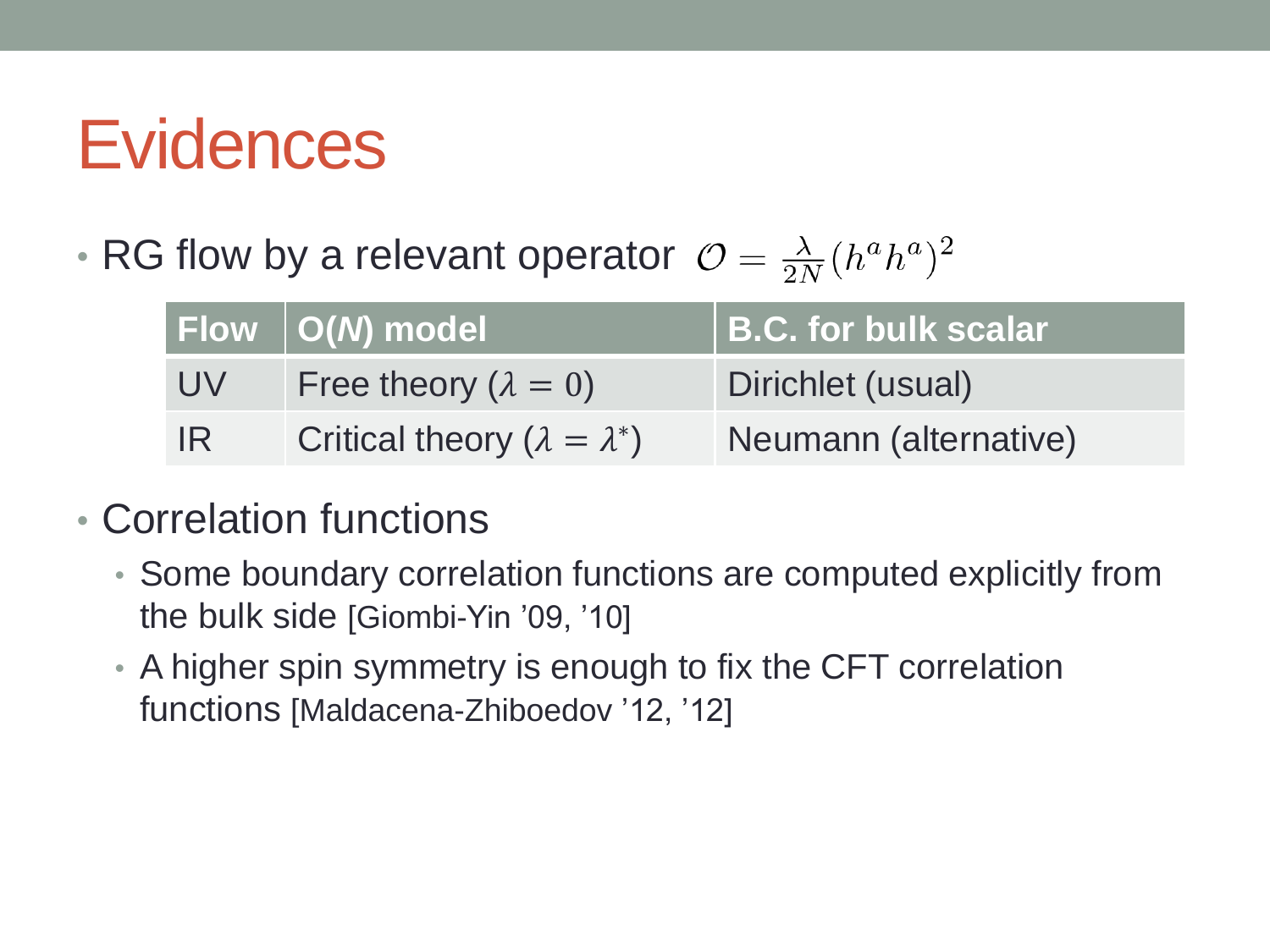#### Evidences

• RG flow by a relevant operator  $\mathcal{O} = \frac{\lambda}{2N} (h^a h^a)^2$ 

|           | $\mid$ Flow $\mid$ O(M) model           | <b>B.C.</b> for bulk scalar |
|-----------|-----------------------------------------|-----------------------------|
| <b>UV</b> | Free theory ( $\lambda = 0$ )           | Dirichlet (usual)           |
| -IR       | Critical theory $(\lambda = \lambda^*)$ | Neumann (alternative)       |

- Correlation functions
	- Some boundary correlation functions are computed explicitly from the bulk side [Giombi-Yin '09, '10]
	- A higher spin symmetry is enough to fix the CFT correlation functions [Maldacena-Zhiboedov '12, '12]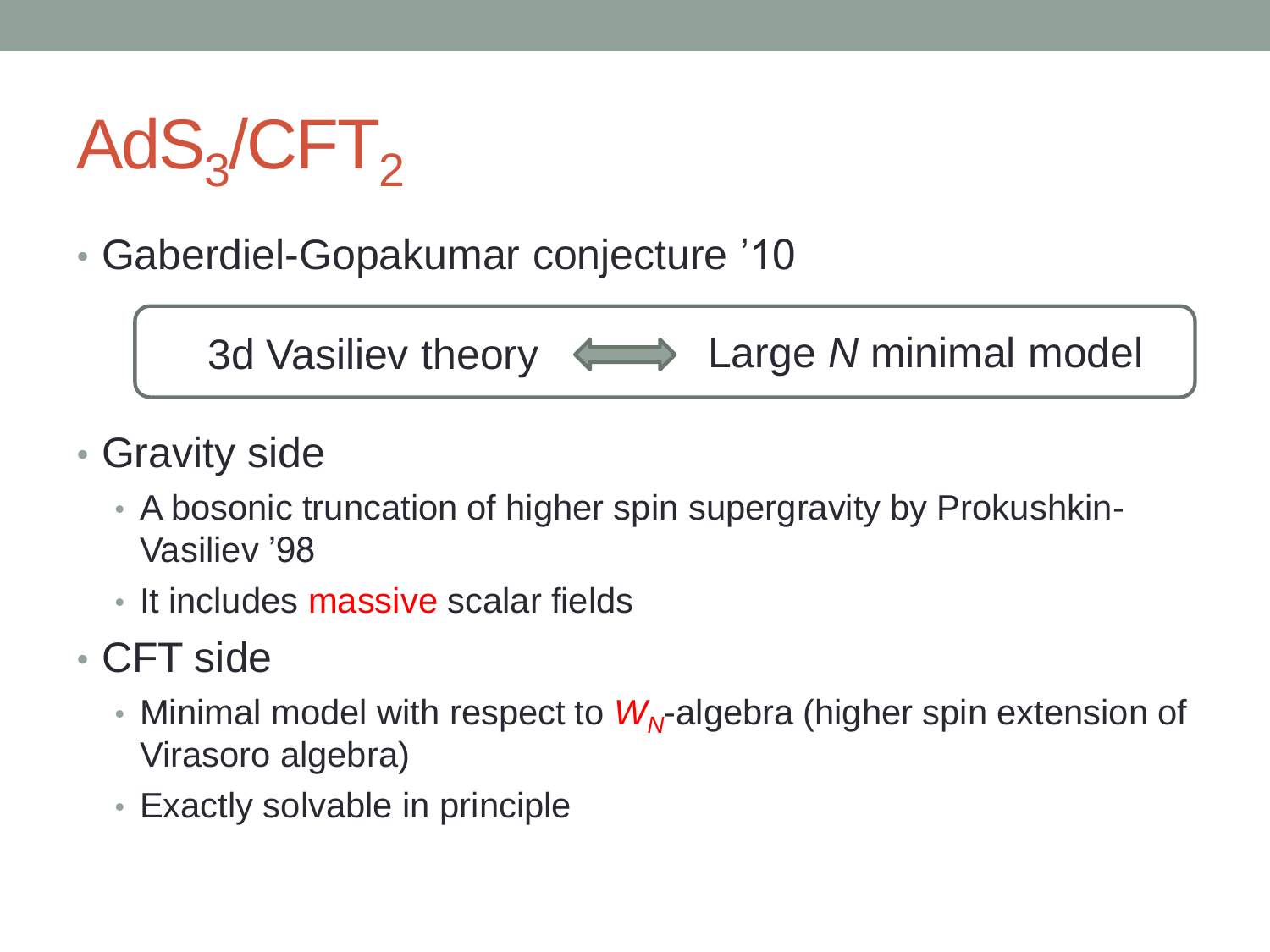## $AdS_3$ /CFT<sub>2</sub>

• Gaberdiel-Gopakumar conjecture '10



- Gravity side
	- A bosonic truncation of higher spin supergravity by Prokushkin-Vasiliev '98
	- It includes massive scalar fields
- CFT side
	- Minimal model with respect to  $W_N$ -algebra (higher spin extension of Virasoro algebra)
	- Exactly solvable in principle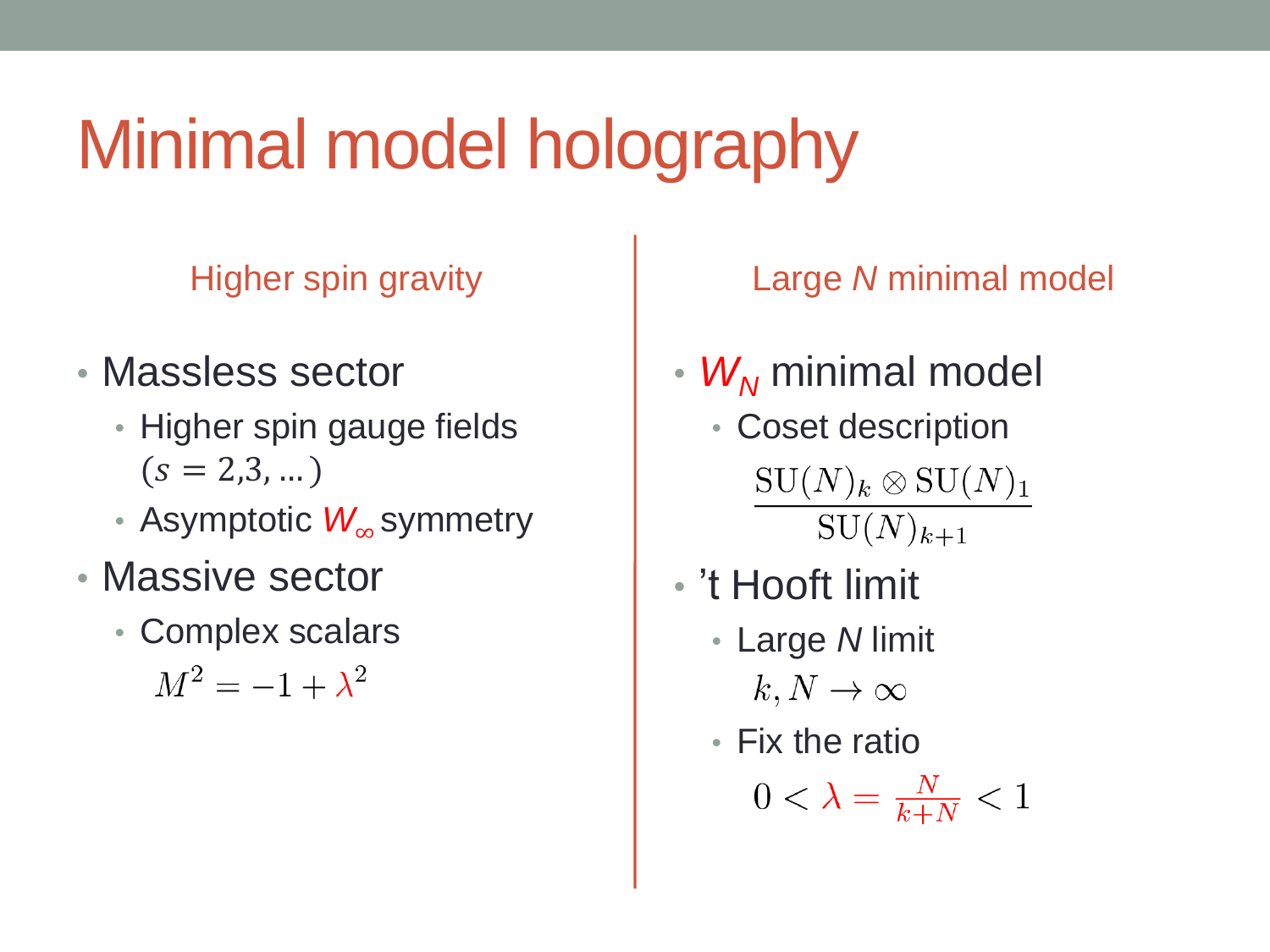## Minimal model holography

Higher spin gravity

- Massless sector
	- Higher spin gauge fields  $(s = 2,3,...)$
	- Asymptotic *W*<sup>∞</sup> symmetry
- Massive sector
	- Complex scalars

 $M^2 = -1 + \lambda^2$ 

Large *N* minimal model

- $W_N$  minimal model
	- Coset description  $\mathrm{SU}(N)_k \otimes \mathrm{SU}(N)_1$  $SU(N)_{k+1}$
- 't Hooft limit
	- Large *N* limit  $k, N \to \infty$
	- Fix the ratio

$$
0 < \lambda = \frac{N}{k+N} < 1
$$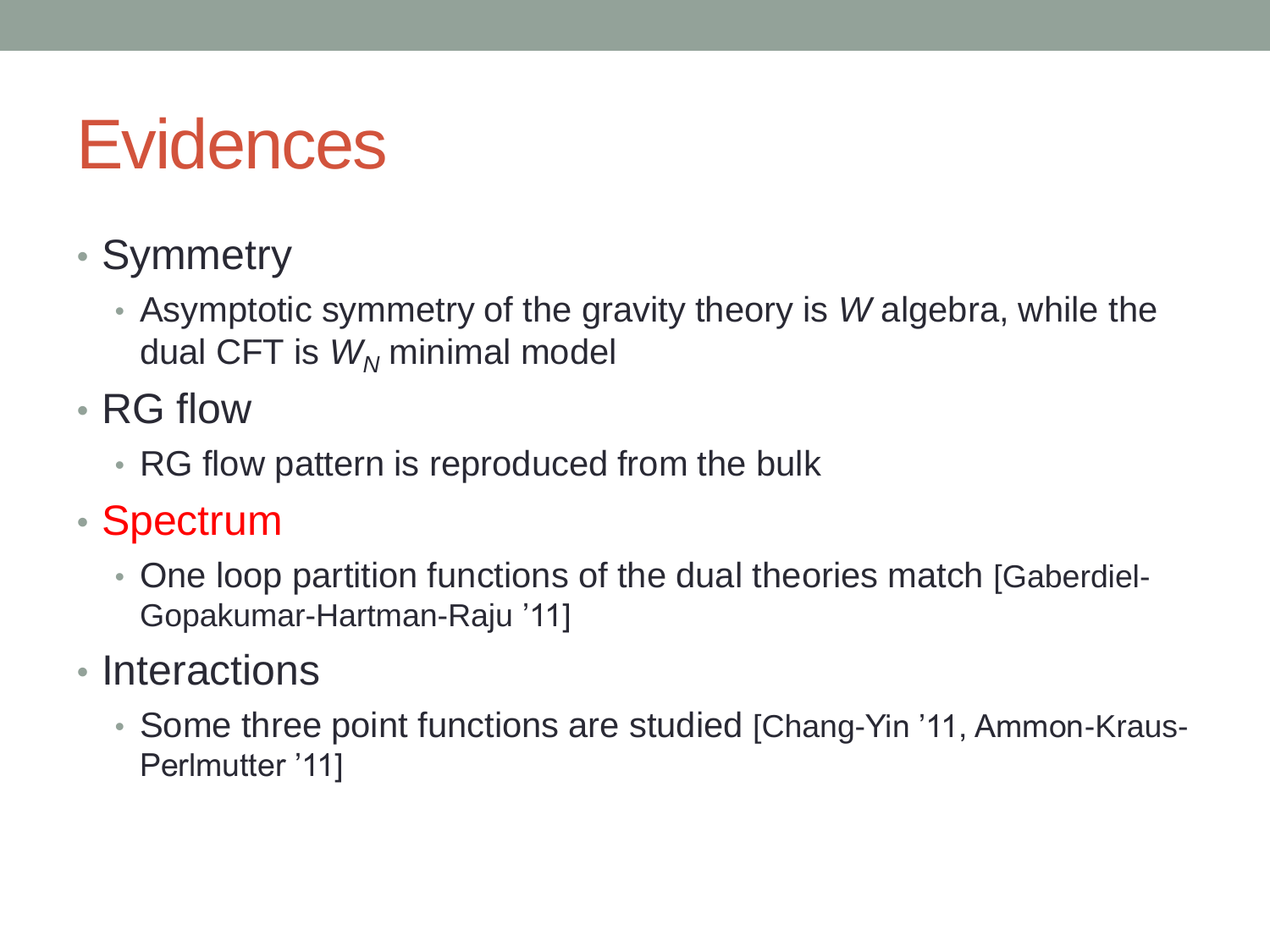### Evidences

- Symmetry
	- Asymptotic symmetry of the gravity theory is *W* algebra, while the dual CFT is  $W_N$  minimal model
- RG flow
	- RG flow pattern is reproduced from the bulk

#### • Spectrum

- One loop partition functions of the dual theories match [Gaberdiel-Gopakumar-Hartman-Raju '11]
- Interactions
	- Some three point functions are studied [Chang-Yin '11, Ammon-Kraus-Perlmutter '11]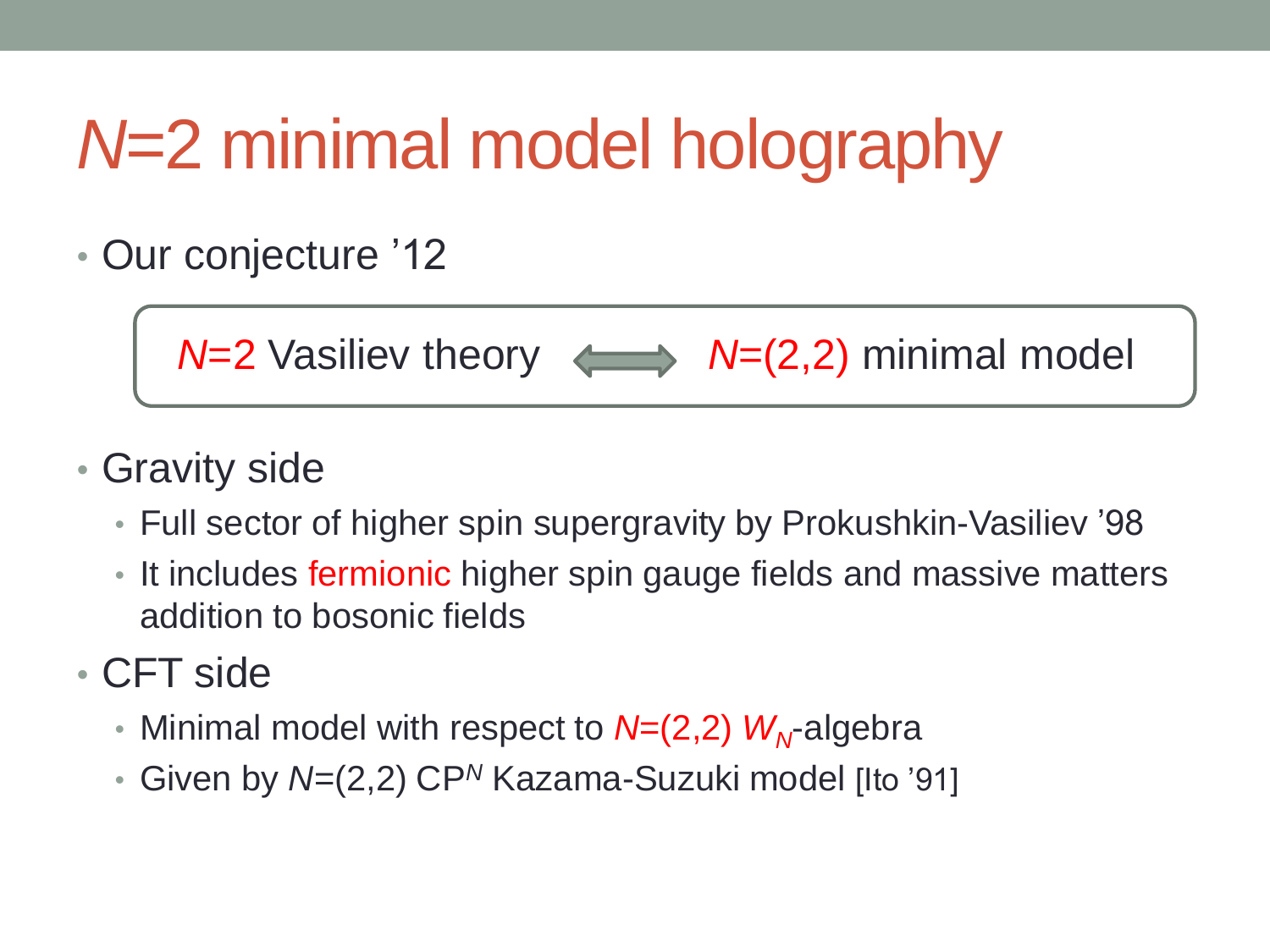## *N*=2 minimal model holography

• Our conjecture '12

$$
N=2
$$
 Vasiliev theory  $\iff$   $N=(2,2)$  minimal model

- Gravity side
	- Full sector of higher spin supergravity by Prokushkin-Vasiliev '98
	- It includes fermionic higher spin gauge fields and massive matters addition to bosonic fields
- CFT side
	- Minimal model with respect to  $N=(2,2)$   $W_N$ -algebra
	- Given by *N*=(2,2) CP*<sup>N</sup>* Kazama-Suzuki model [Ito '91]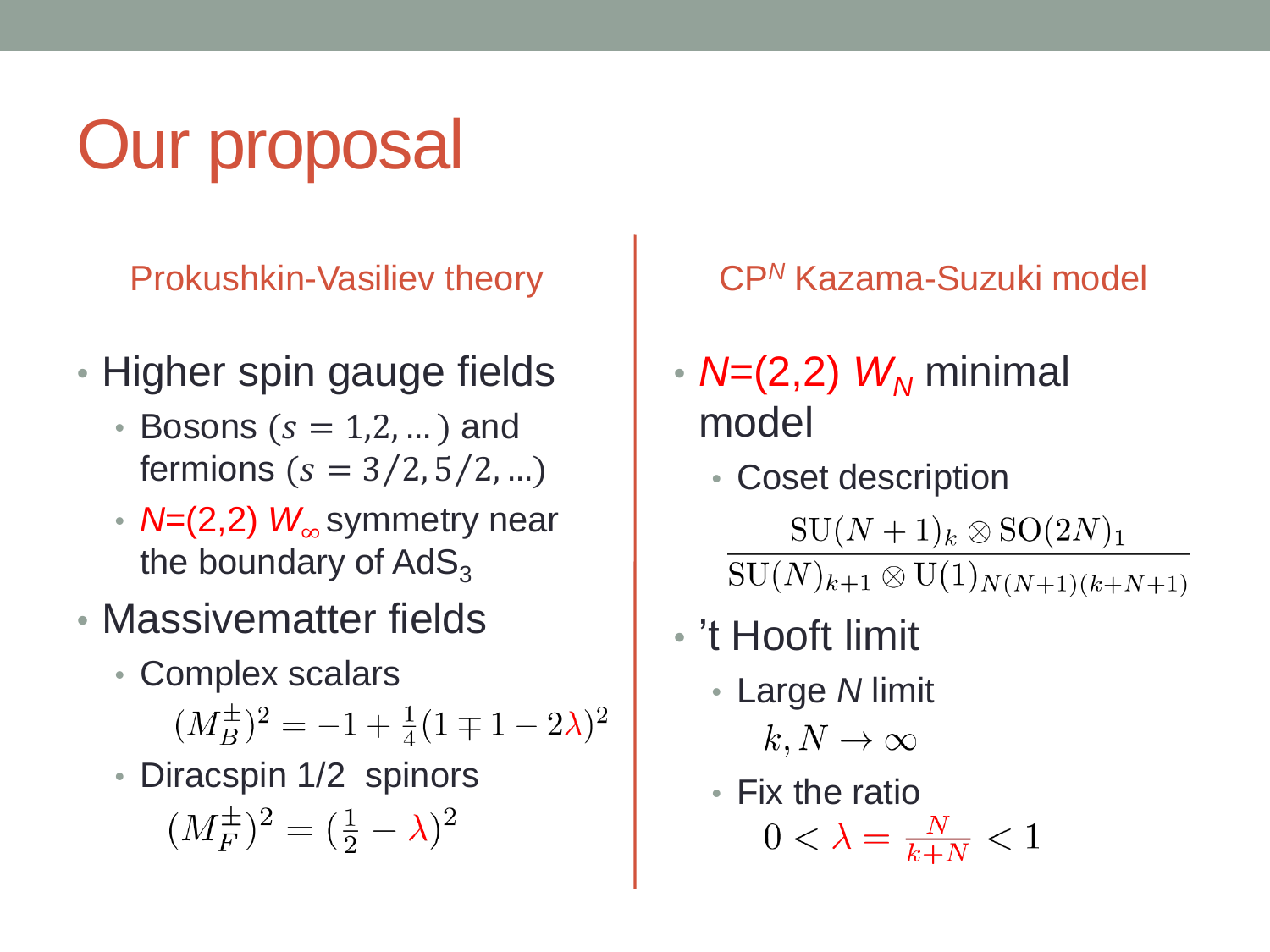Our proposal

Prokushkin-Vasiliev theory

- Higher spin gauge fields
	- Bosons  $(s = 1,2,...)$  and fermions  $(s = 3/2, 5/2, ...)$
	- *N*=(2,2) *W*<sup>∞</sup> symmetry near the boundary of  $AdS<sub>3</sub>$
- Massivematter fields
	- Complex scalars  $(M_{\rm B}^{\pm})^2 = -1 + \frac{1}{4}(1 \mp 1 - 2\lambda)^2$
	- Diracspin 1/2 spinors  $(M_F^{\pm})^2 = (\frac{1}{2} - \lambda)^2$

CP*<sup>N</sup>* Kazama-Suzuki model

•  $N=(2,2)$   $W_N$  minimal model

• Coset description

 $SU(N+1)_k \otimes SO(2N)_1$  $SU(N)_{k+1} \otimes U(1)_{N(N+1)(k+N+1)}$ 

- 't Hooft limit
	- Large *N* limit  $k, N \to \infty$
	- Fix the ratio $0 < \lambda = \frac{N}{k+N} < 1$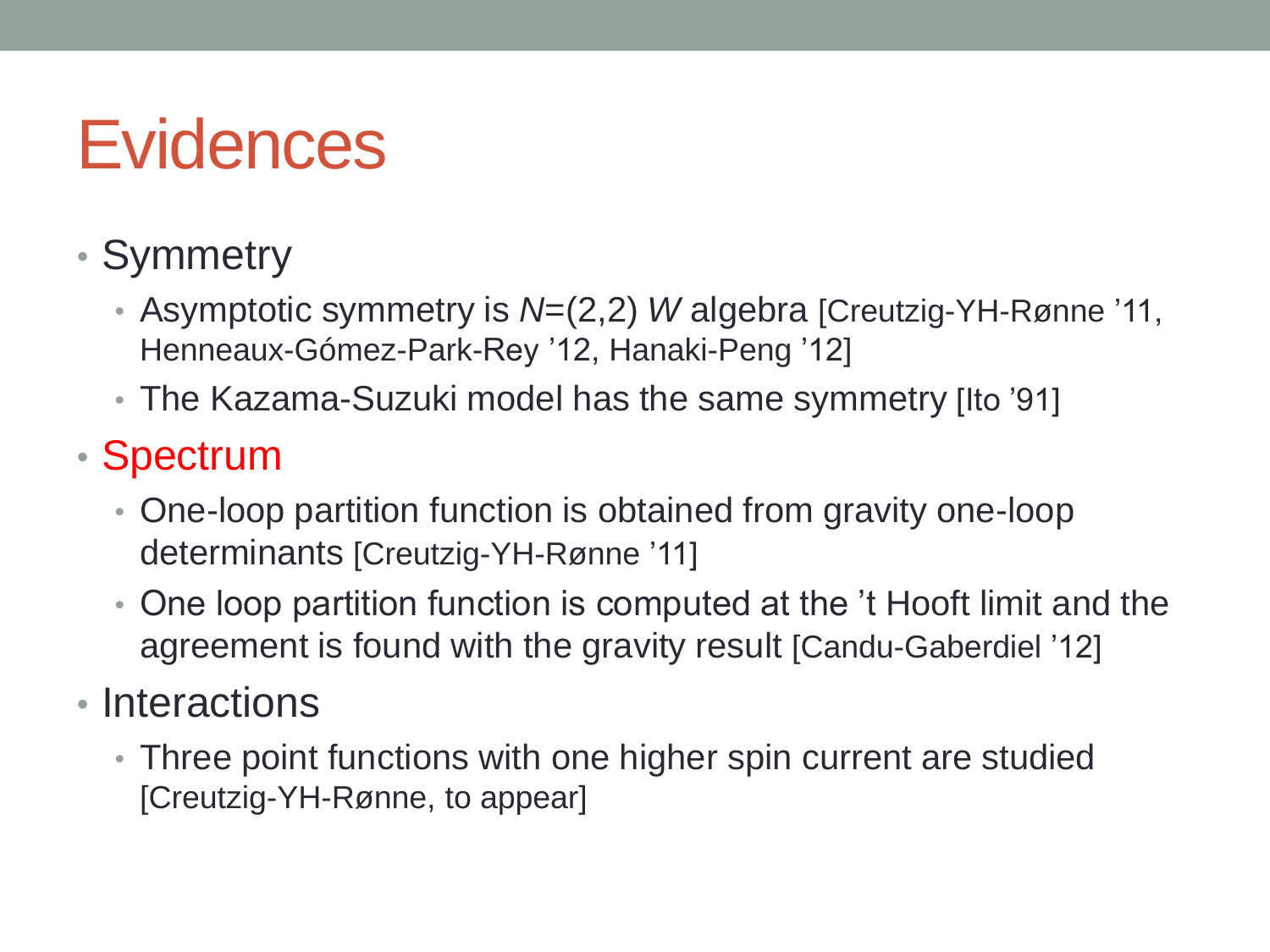### **Evidences**

- Symmetry
	- Asymptotic symmetry is *N*=(2,2) *W* algebra [Creutzig-YH-Rønne '11, Henneaux-Gómez-Park-Rey '12, Hanaki-Peng '12]
	- The Kazama-Suzuki model has the same symmetry [Ito '91]
- Spectrum
	- One-loop partition function is obtained from gravity one-loop determinants [Creutzig-YH-Rønne '11]
	- One loop partition function is computed at the 't Hooft limit and the agreement is found with the gravity result [Candu-Gaberdiel '12]
- Interactions
	- Three point functions with one higher spin current are studied [Creutzig-YH-Rønne, to appear]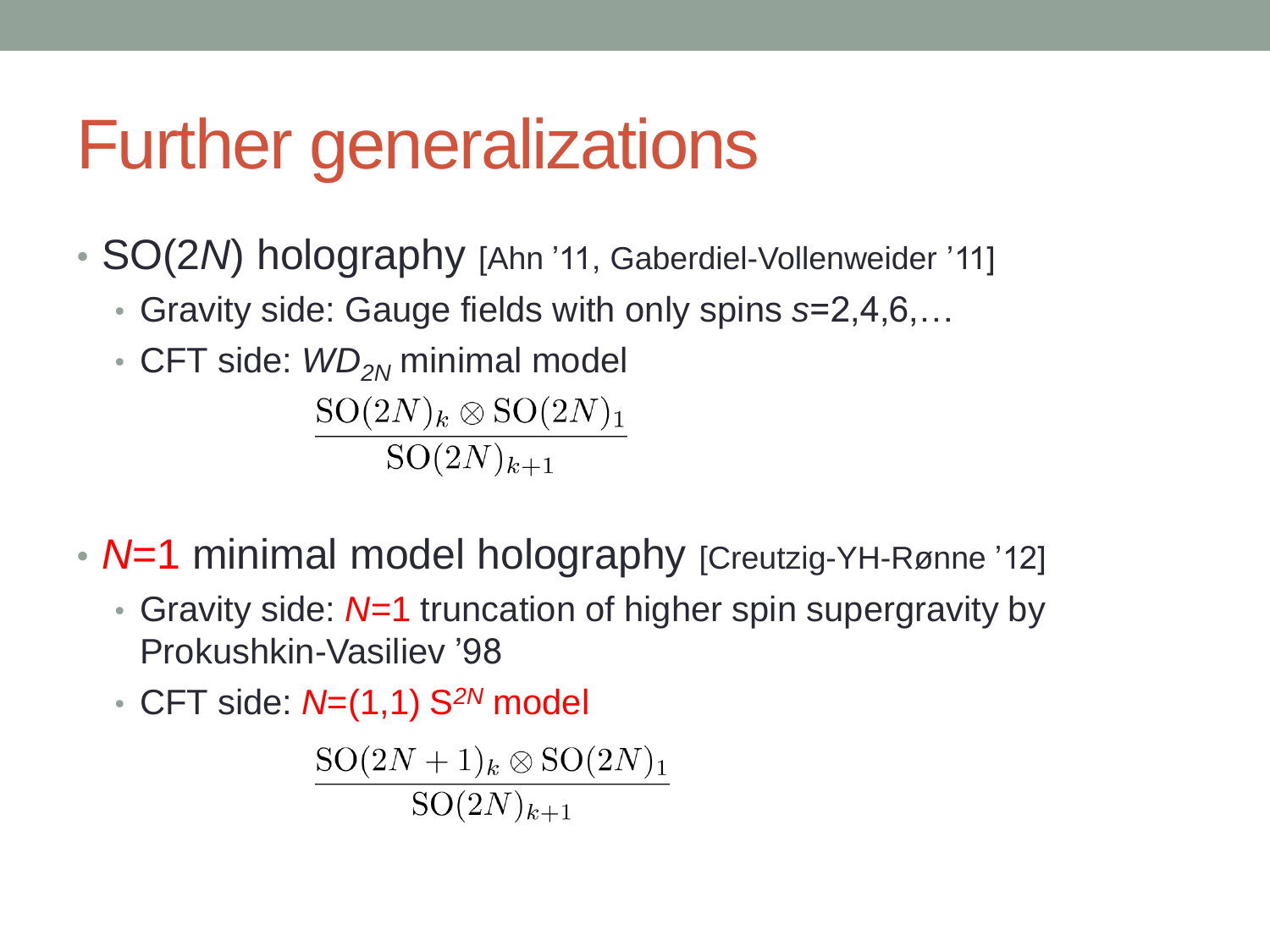## Further generalizations

- SO(2*N*) holography [Ahn '11, Gaberdiel-Vollenweider '11]
	- Gravity side: Gauge fields with only spins *s*=2,4,6,…
	- CFT side:  $WD_{2N}$  minimal model  $SO(2N)_k \otimes SO(2N)_1$  $SO(2N)_{k+1}$
- **N=1** minimal model holography [Creutzig-YH-Rønne '12]
	- Gravity side: *N*=1 truncation of higher spin supergravity by Prokushkin-Vasiliev '98
	- CFT side: *N*=(1,1) S*2N* model

 $SO(2N+1)_k \otimes SO(2N)_1$  $SO(2N)_{k+1}$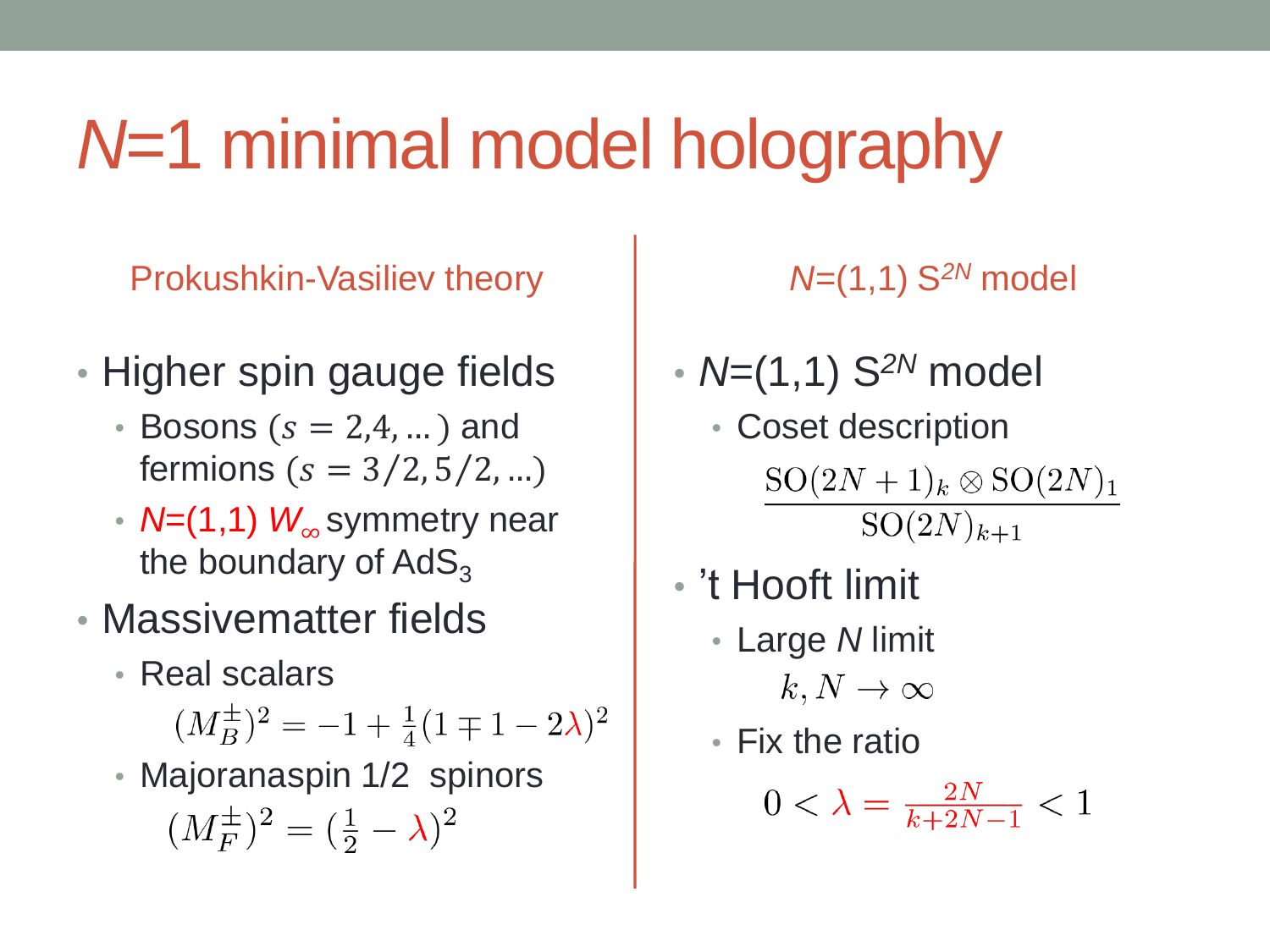## *N*=1 minimal model holography

Prokushkin-Vasiliev theory

- Higher spin gauge fields
	- Bosons  $(s = 2, 4, ...)$  and fermions  $(s = 3/2, 5/2, ...)$
	- *N*=(1,1) *W*<sup>∞</sup> symmetry near the boundary of  $AdS<sub>3</sub>$
- Massivematter fields
	- Real scalars  $(M_B^{\pm})^2 = -1 + \frac{1}{4}(1 \mp 1 - 2\lambda)^2$
	- Majoranaspin 1/2 spinors  $(M_F^{\pm})^2 = (\frac{1}{2} - \lambda)^2$

*N*=(1,1) S*2N* model

- *N*=(1,1) S*2N* model
	- Coset description

 $SO(2N+1)_k \otimes SO(2N)_1$  $SO(2N)_{k+1}$ 

- 't Hooft limit
	- Large *N* limit  $k, N \to \infty$
	- Fix the ratio

$$
0<\lambda=\tfrac{2N}{k+2N-1}<1
$$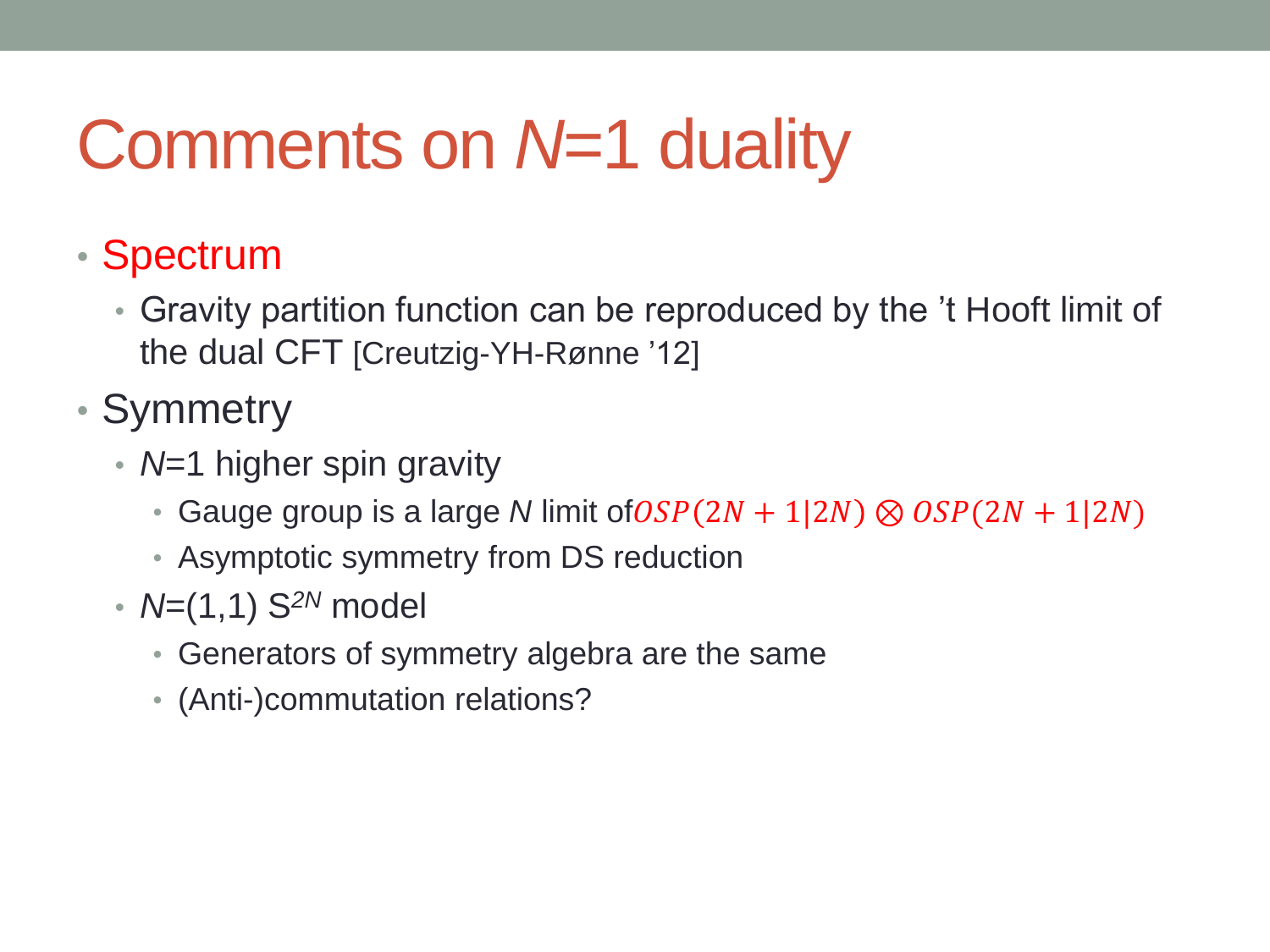## Comments on *N*=1 duality

- Spectrum
	- Gravity partition function can be reproduced by the 't Hooft limit of the dual CFT [Creutzig-YH-Rønne '12]
- Symmetry
	- *N*=1 higher spin gravity
		- Gauge group is a large *N* limit of  $OSP(2N + 1|2N) \otimes OSP(2N + 1|2N)$
		- Asymptotic symmetry from DS reduction
	- *N*=(1,1) S*2N* model
		- Generators of symmetry algebra are the same
		- (Anti-)commutation relations?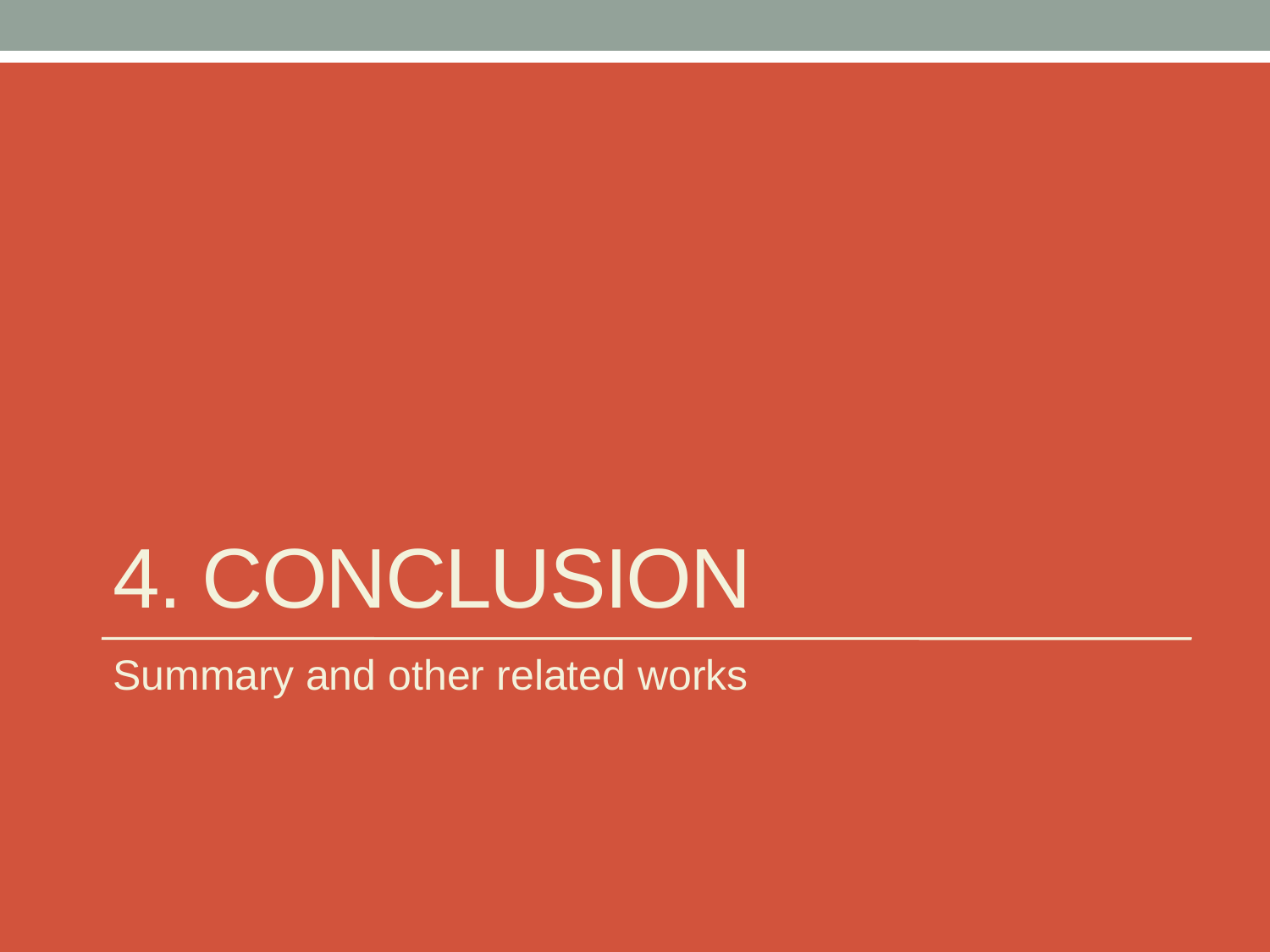## 4. CONCLUSION

Summary and other related works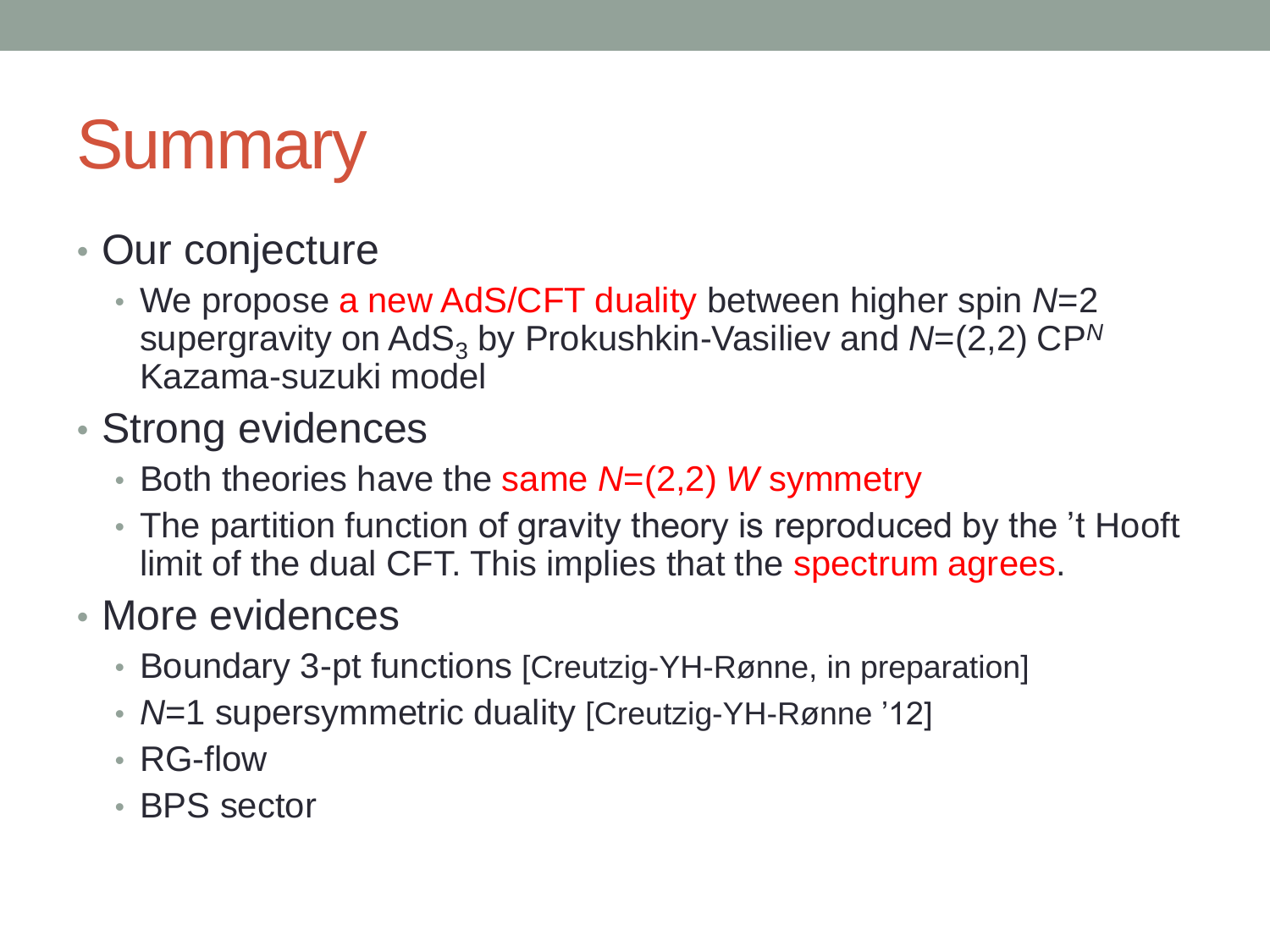## **Summary**

- Our conjecture
	- We propose a new AdS/CFT duality between higher spin *N*=2 supergravity on AdS<sub>3</sub> by Prokushkin-Vasiliev and *N*=(2,2) CP<sup>N</sup> Kazama-suzuki model
- Strong evidences
	- Both theories have the same *N*=(2,2) *W* symmetry
	- The partition function of gravity theory is reproduced by the 't Hooft limit of the dual CFT. This implies that the spectrum agrees.
- More evidences
	- Boundary 3-pt functions [Creutzig-YH-Rønne, in preparation]
	- *N*=1 supersymmetric duality [Creutzig-YH-Rønne '12]
	- RG-flow
	- BPS sector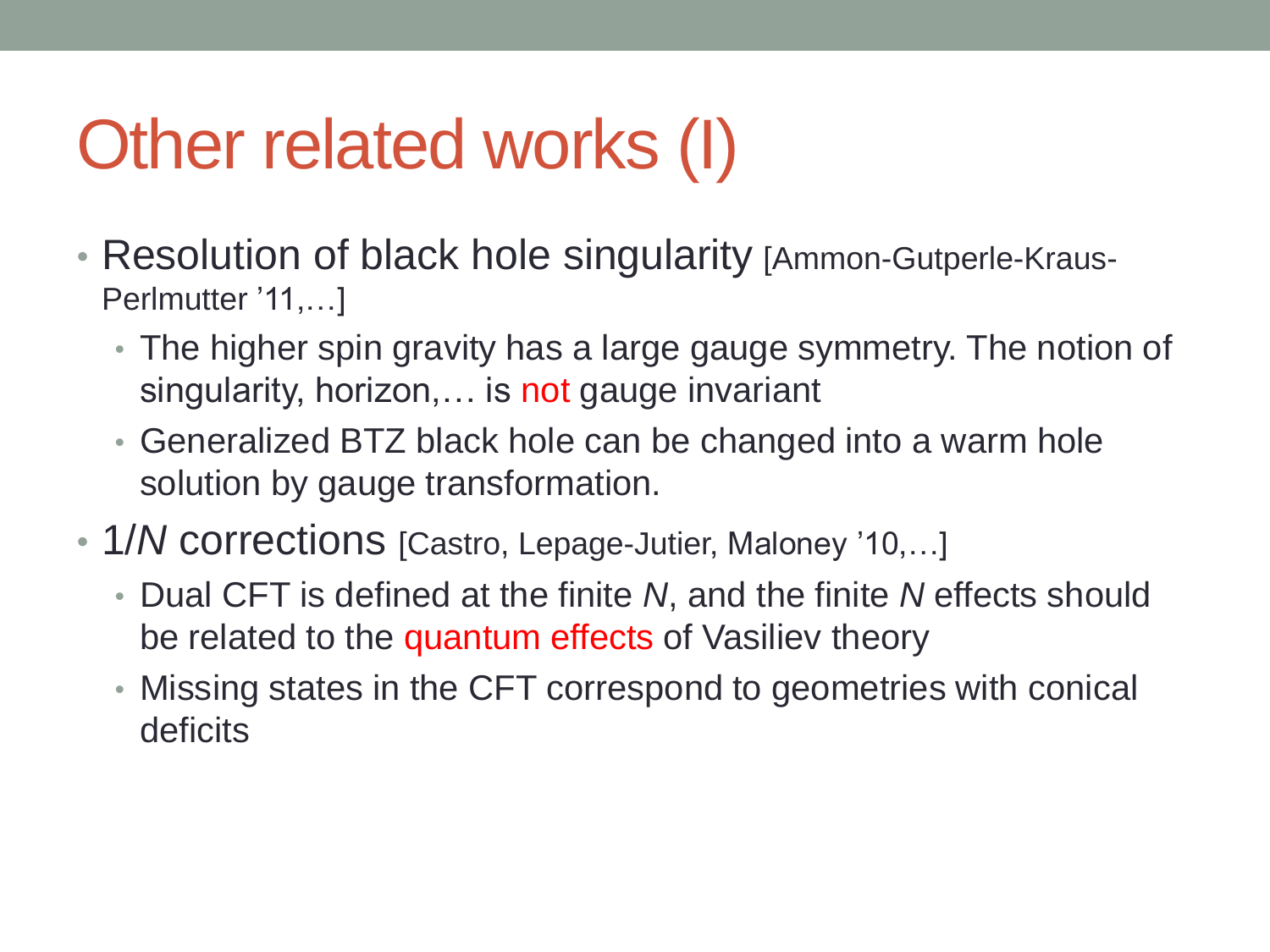## Other related works (I)

- Resolution of black hole singularity [Ammon-Gutperle-Kraus-Perlmutter '11,…]
	- The higher spin gravity has a large gauge symmetry. The notion of singularity, horizon,... is not gauge invariant
	- Generalized BTZ black hole can be changed into a warm hole solution by gauge transformation.
- 1/*N* corrections [Castro, Lepage-Jutier, Maloney '10,...]
	- Dual CFT is defined at the finite *N*, and the finite *N* effects should be related to the quantum effects of Vasiliev theory
	- Missing states in the CFT correspond to geometries with conical deficits